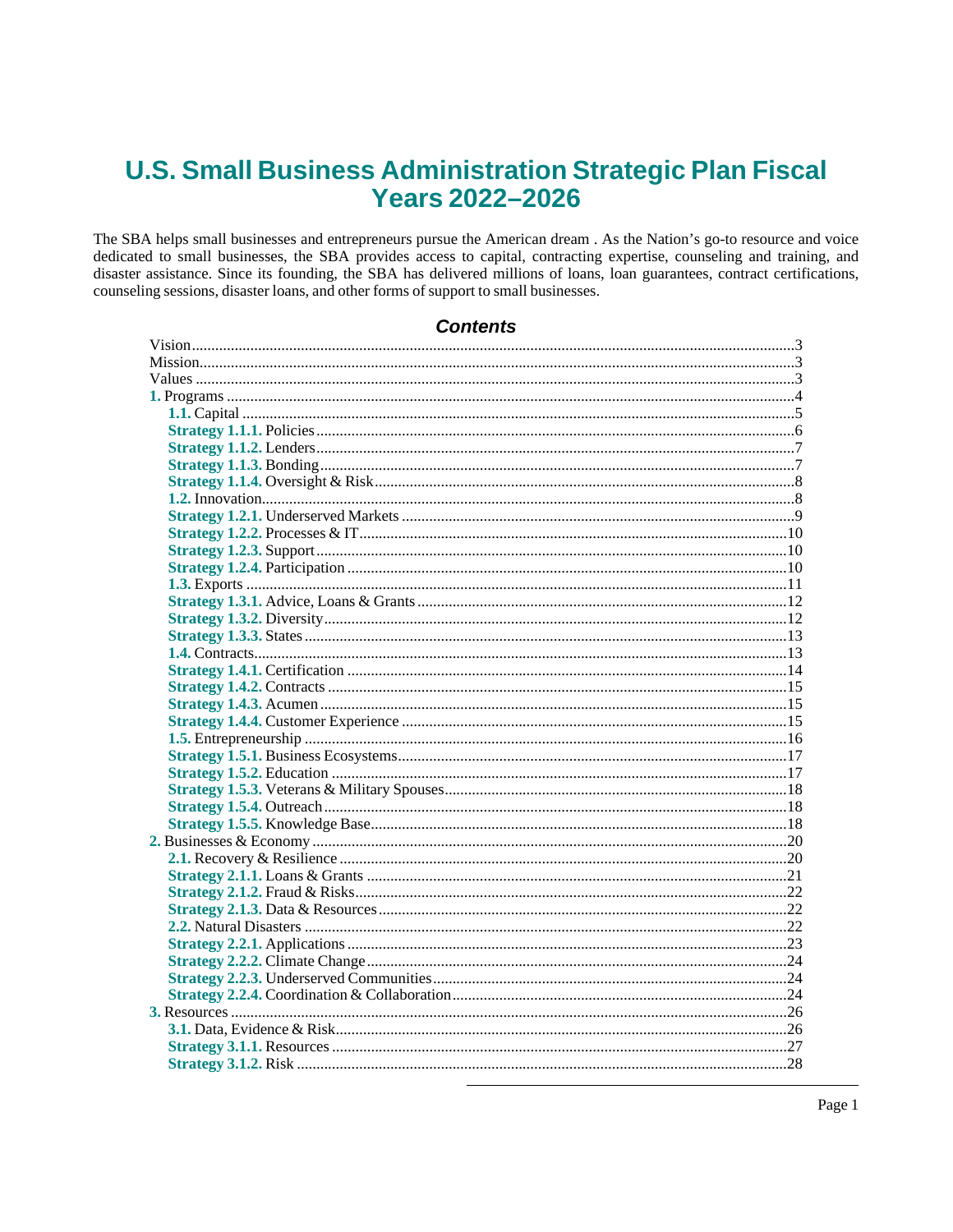# **U.S. Small Business Administration Strategic Plan Fiscal Years 2022-2026**

The SBA helps small businesses and entrepreneurs pursue the American dream. As the Nation's go-to resource and voice dedicated to small businesses, the SBA provides access to capital, contracting expertise, counseling and training, and disaster assistance. Since its founding, the SBA has delivered millions of loans, loan guarantees, contract certifications, counseling sessions, disaster loans, and other forms of support to small businesses.

## **Contents**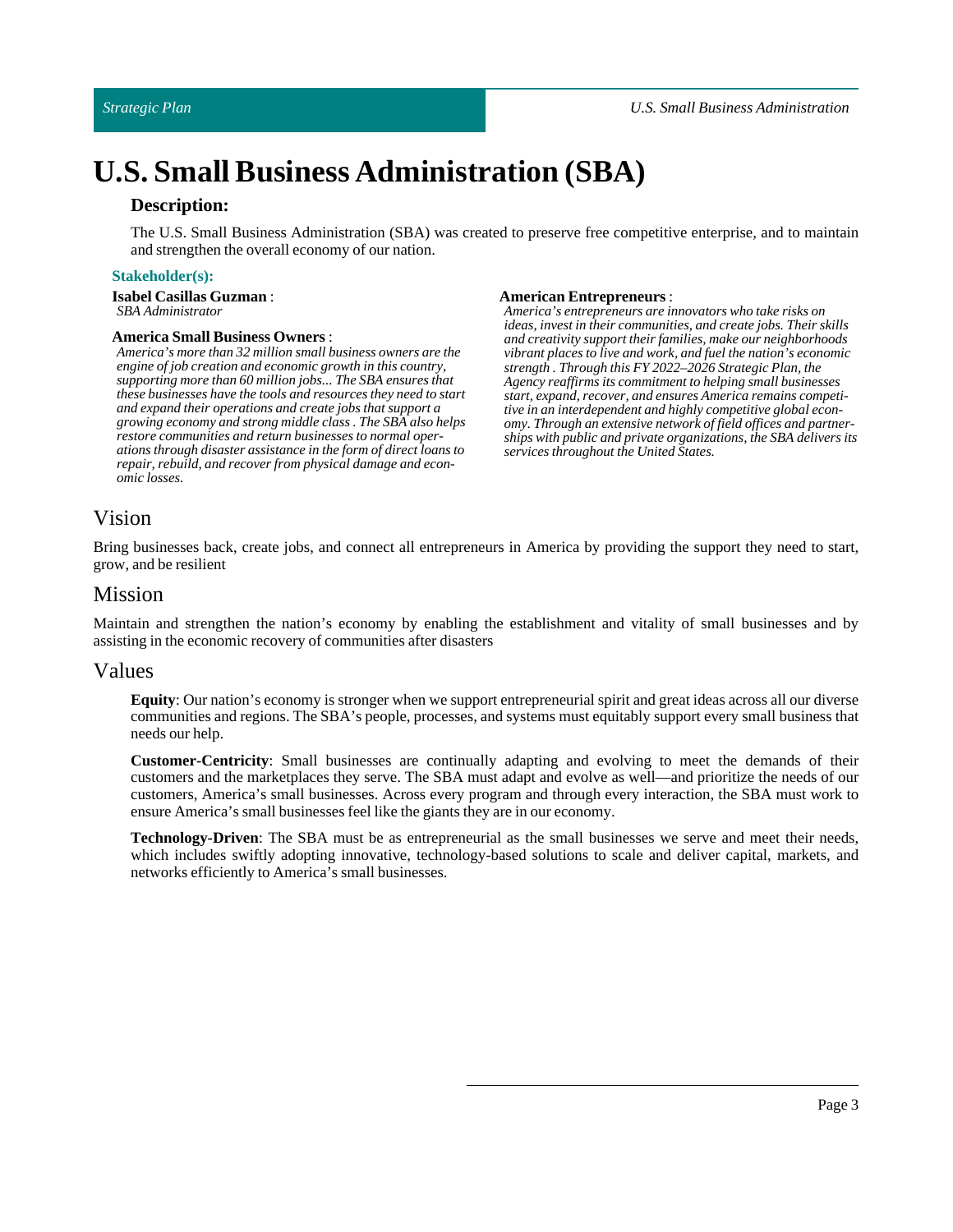## **Description:**

The U.S. Small Business Administration (SBA) was created to preserve free competitive enterprise, and to maintain and strengthen the overall economy of our nation.

### **Stakeholder(s):**

**Isabel Casillas Guzman**: *SBA Administrator*

#### **AmericaSmall Business Owners** :

*America's more than 32 million small business owners are the engine of job creation and economic growth in this country, supporting more than 60 million jobs... The SBA ensures that these businesses have the tools and resources they need to start and expand their operations and create jobs that support a growing economy and strong middle class . The SBA also helps restore communities and return businesses to normal operations through disaster assistance in the form of direct loans to repair, rebuild, and recover from physical damage and economic losses.*

#### **American Entrepreneurs**:

*America's entrepreneurs are innovators who take risks on ideas, invest in their communities, and create jobs. Their skills and creativity support their families, make our neighborhoods vibrant places to live and work, and fuel the nation's economic strength . Through this FY 2022–2026 Strategic Plan, the Agency reaffirms its commitment to helping small businesses start, expand, recover, and ensures America remains competitive in an interdependent and highly competitive global economy. Through an extensive network of field offices and partnerships with public and private organizations, the SBA delivers its services throughout the United States.*

## <span id="page-2-0"></span>Vision

Bring businesses back, create jobs, and connect all entrepreneurs in America by providing the support they need to start, grow, and be resilient

## <span id="page-2-1"></span>Mission

Maintain and strengthen the nation's economy by enabling the establishment and vitality of small businesses and by assisting in the economic recovery of communities after disasters

## <span id="page-2-2"></span>Values

**Equity**: Our nation's economy is stronger when we support entrepreneurial spirit and great ideas across all our diverse communities and regions. The SBA's people, processes, and systems must equitably support every small business that needs our help.

**Customer-Centricity**: Small businesses are continually adapting and evolving to meet the demands of their customers and the marketplaces they serve. The SBA must adapt and evolve as well—and prioritize the needs of our customers, America's small businesses. Across every program and through every interaction, the SBA must work to ensure America's small businesses feellike the giants they are in our economy.

**Technology-Driven**: The SBA must be as entrepreneurial as the small businesses we serve and meet their needs, which includes swiftly adopting innovative, technology-based solutions to scale and deliver capital, markets, and networks efficiently to America's small businesses.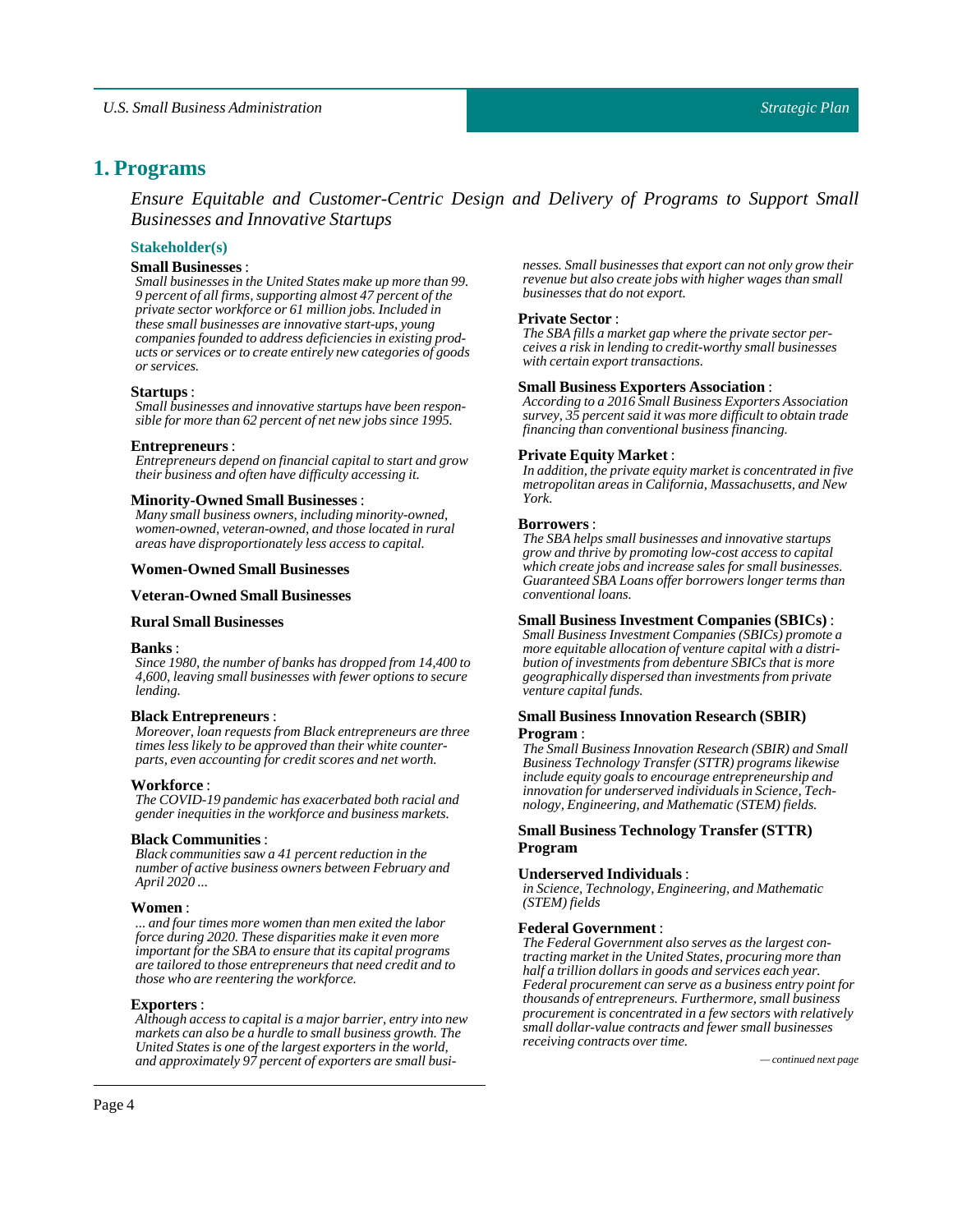## <span id="page-3-0"></span>**1. Programs**

*Ensure Equitable and Customer-Centric Design and Delivery of Programs to Support Small Businesses and Innovative Startups*

### **Stakeholder(s)**

### **Small Businesses**:

*Small businesses in the United States make up more than 99. 9 percent of all firms, supporting almost 47 percent of the private sector workforce or 61 million jobs. Included in these small businesses are innovative start-ups, young companies founded to address deficiencies in existing products or services or to create entirely new categories of goods or services.*

#### **Startups**:

*Small businesses and innovative startups have been responsible for more than 62 percent of net new jobs since 1995.*

#### **Entrepreneurs**:

*Entrepreneurs depend on financial capital to start and grow their business and often have difficulty accessing it.*

#### **Minority-OwnedSmall Businesses**:

*Many small business owners, including minority-owned, women-owned, veteran-owned, and those located in rural areas have disproportionately less access to capital.*

#### **Women-OwnedSmall Businesses**

#### **Veteran-OwnedSmall Businesses**

#### **RuralSmall Businesses**

#### **Banks**:

*Since 1980, the number of banks has dropped from 14,400 to 4,600, leaving small businesses with fewer options to secure lending.*

#### **Black Entrepreneurs** :

*Moreover, loan requests from Black entrepreneurs are three times less likely to be approved than their white counterparts, even accounting for credit scores and net worth.*

#### **Workforce** :

*The COVID-19 pandemic has exacerbated both racial and gender inequities in the workforce and business markets.*

#### **Black Communities**:

*Black communities saw a 41 percent reduction in the number of active business owners between February and April 2020 ...*

#### **Women**:

*... and four times more women than men exited the labor force during 2020. These disparities make it even more important for the SBA to ensure that its capital programs are tailored to those entrepreneurs that need credit and to those who are reentering the workforce.*

#### **Exporters**:

*Although access to capital is a major barrier, entry into new markets can also be a hurdle to small business growth. The United States is one of the largest exporters in the world, and approximately 97 percent of exporters are small busi- — continued next page*

*nesses. Small businesses that export can not only grow their revenue but also create jobs with higher wages than small businesses that do not export.*

#### **Private Sector**:

*The SBA fills a market gap where the private sector perceives a risk in lending to credit-worthy small businesses with certain export transactions.*

#### **Small Business Exporters Association**:

*According to a 2016 Small Business Exporters Association survey, 35 percent said it was more difficult to obtain trade financing than conventional business financing.*

#### **Private Equity Market** :

*In addition, the private equity market is concentrated in five metropolitan areas in California, Massachusetts, and New York.*

#### **Borrowers** :

*The SBA helps small businesses and innovative startups grow and thrive by promoting low-cost access to capital which create jobs and increase sales for small businesses. Guaranteed SBA Loans offer borrowers longer terms than conventional loans.*

#### **Small Business Investment Companies (SBICs)** :

*Small Business Investment Companies (SBICs) promote a more equitable allocation of venture capital with a distribution of investments from debenture SBICs that is more geographically dispersed than investments from private venture capital funds.*

### **Small Business Innovation Research(SBIR) Program** :

*The Small Business Innovation Research (SBIR) and Small Business Technology Transfer (STTR) programs likewise include equity goals to encourage entrepreneurship and innovation for underserved individuals in Science, Technology, Engineering, and Mathematic (STEM) fields.*

### **Small Business Technology Transfer (STTR) Program**

#### **Underserved Individuals**:

*in Science, Technology, Engineering, and Mathematic (STEM) fields*

#### **Federal Government** :

*The Federal Government also serves as the largest contracting market in the United States, procuring more than half a trillion dollars in goods and services each year. Federal procurement can serve as a business entry point for thousands of entrepreneurs. Furthermore, small business procurement is concentrated in a few sectors with relatively small dollar-value contracts and fewer small businesses receiving contracts over time.*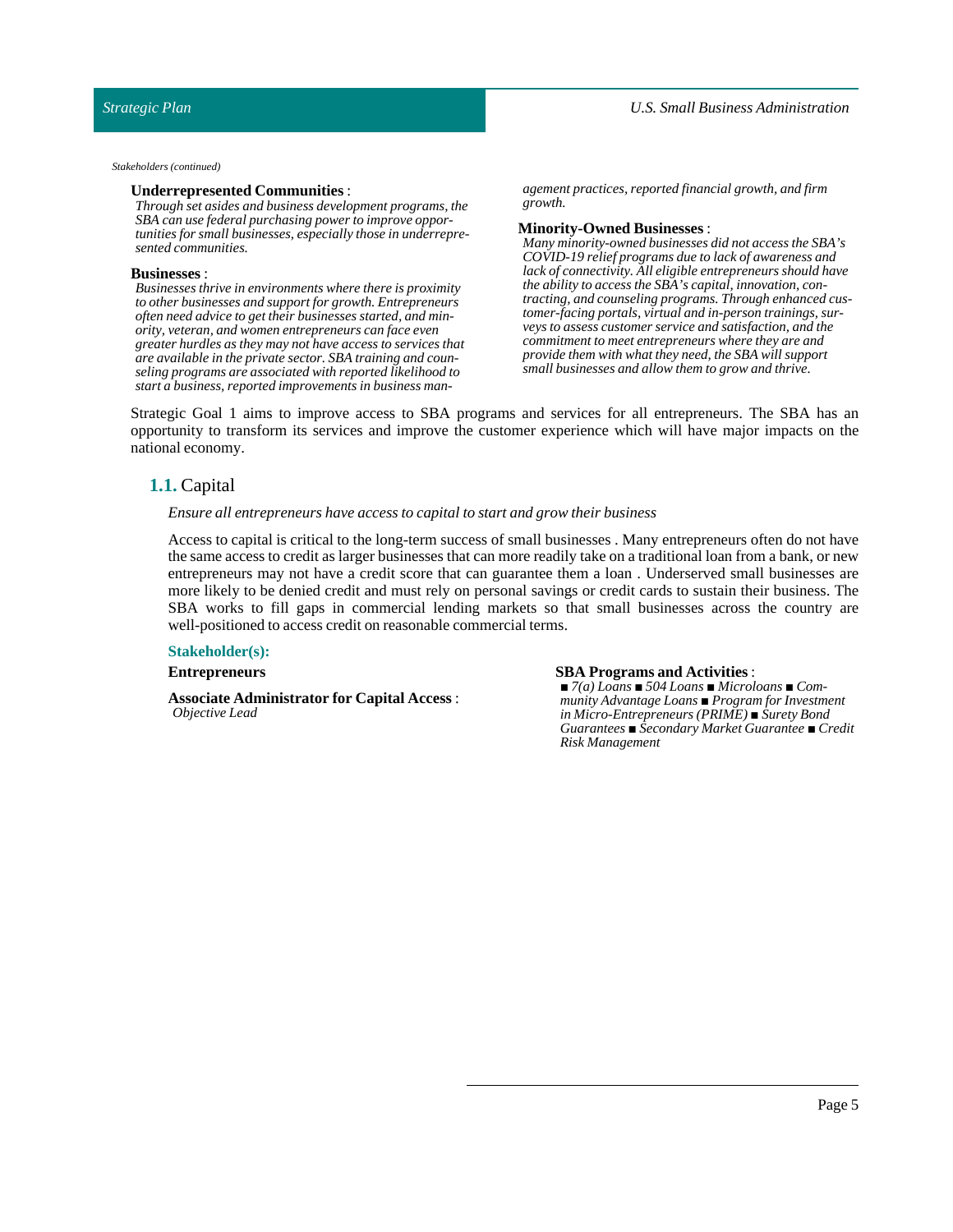*Stakeholders (continued)*

#### **Underrepresented Communities**:

*Through set asides and business development programs, the SBA can use federal purchasing power to improve opportunities for small businesses, especially those in underrepresented communities.*

#### **Businesses** :

*Businesses thrive in environments where there is proximity to other businesses and support for growth. Entrepreneurs often need advice to get their businesses started, and minority, veteran, and women entrepreneurs can face even greater hurdles as they may not have access to services that are available in the private sector. SBA training and counseling programs are associated with reported likelihood to start a business, reported improvements in business man-* *agement practices, reported financial growth, and firm growth.*

#### **Minority-Owned Businesses** :

*Many minority-owned businesses did not access the SBA's COVID-19 relief programs due to lack of awareness and lack of connectivity. All eligible entrepreneurs should have the ability to access the SBA's capital, innovation, contracting, and counseling programs. Through enhanced customer-facing portals, virtual and in-person trainings, surveys to assess customer service and satisfaction, and the commitment to meet entrepreneurs where they are and provide them with what they need, the SBA will support small businesses and allow them to grow and thrive.*

<span id="page-4-0"></span>Strategic Goal 1 aims to improve access to SBA programs and services for all entrepreneurs. The SBA has an opportunity to transform its services and improve the customer experience which will have major impacts on the national economy.

## **1.1.** Capital

### *Ensure all entrepreneurs have access to capitalto start and grow their business*

Access to capital is critical to the long-term success of small businesses . Many entrepreneurs often do not have the same access to credit as larger businesses that can more readily take on a traditional loan from a bank, or new entrepreneurs may not have a credit score that can guarantee them a loan . Underserved small businesses are more likely to be denied credit and must rely on personal savings or credit cards to sustain their business. The SBA works to fill gaps in commercial lending markets so that small businesses across the country are well-positioned to access credit on reasonable commercial terms.

#### **Stakeholder(s):**

#### **Entrepreneurs**

**Associate Administrator for Capital Access** : *Objective Lead*

#### **SBA Programs and Activities**:

*■ 7(a) Loans ■ 504 Loans ■ Microloans ■ Community Advantage Loans ■ Program for Investment in Micro-Entrepreneurs (PRIME) ■ Surety Bond Guarantees ■ Secondary Market Guarantee ■ Credit Risk Management*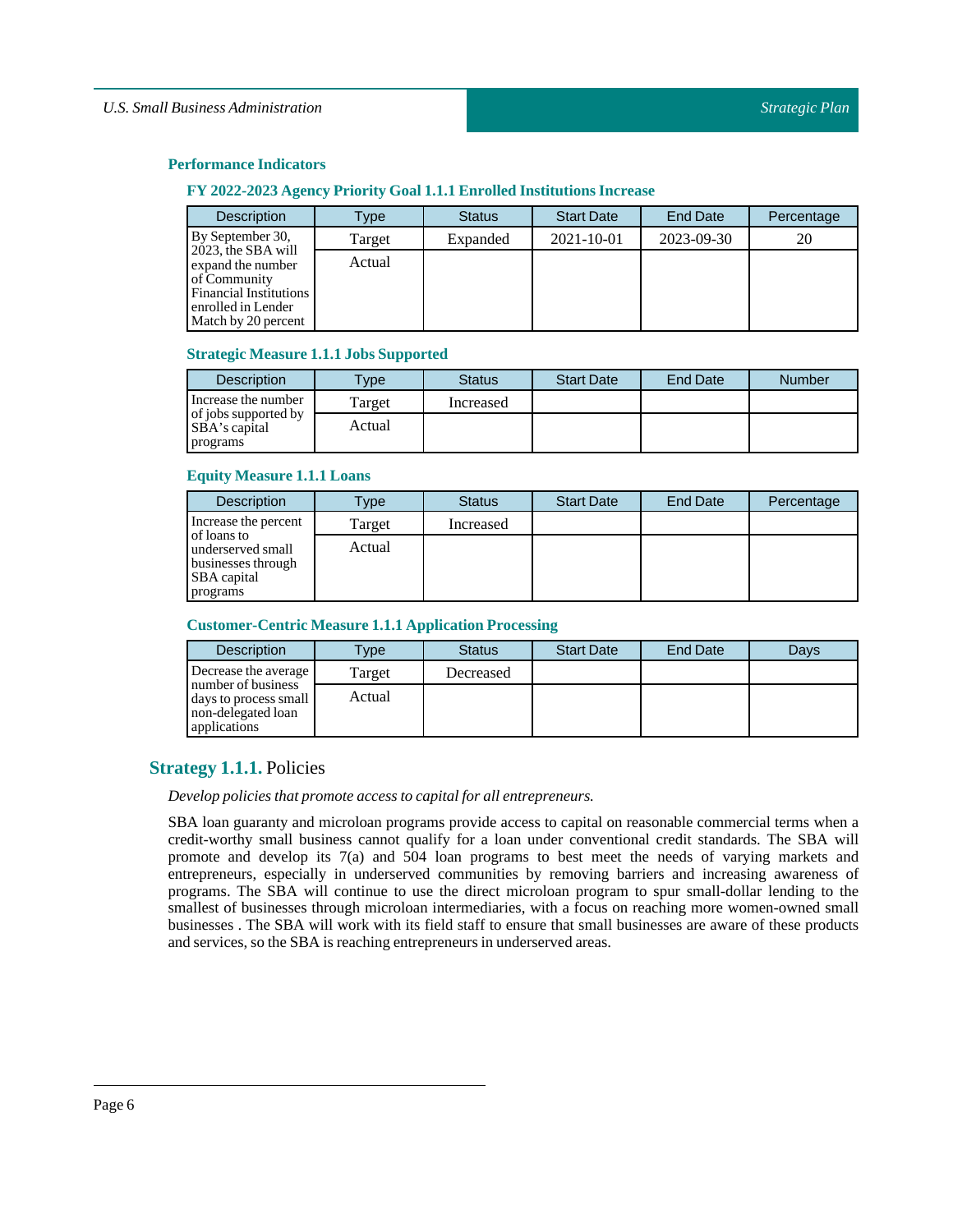## **FY 2022-2023 Agency Priority Goal 1.1.1 EnrolledInstitutions Increase**

| <b>Description</b>                                                                                                                    | Type   | <b>Status</b> | <b>Start Date</b> | <b>End Date</b> | Percentage |
|---------------------------------------------------------------------------------------------------------------------------------------|--------|---------------|-------------------|-----------------|------------|
| By September 30,                                                                                                                      | Target | Expanded      | 2021-10-01        | 2023-09-30      | 20         |
| 2023, the SBA will<br>expand the number<br>of Community<br><b>Financial Institutions</b><br>enrolled in Lender<br>Match by 20 percent | Actual |               |                   |                 |            |

### **Strategic Measure 1.1.1 JobsSupported**

| <b>Description</b>                    | $T$ <sub>V</sub> $pe$ | <b>Status</b> | <b>Start Date</b> | <b>End Date</b> | <b>Number</b> |
|---------------------------------------|-----------------------|---------------|-------------------|-----------------|---------------|
| Increase the number                   | Target                | Increased     |                   |                 |               |
| of jobs supported by<br>SBA's capital | Actual                |               |                   |                 |               |
| programs                              |                       |               |                   |                 |               |

### **Equity Measure 1.1.1 Loans**

| <b>Description</b>                                                                       | Type   | <b>Status</b> | <b>Start Date</b> | <b>End Date</b> | Percentage |
|------------------------------------------------------------------------------------------|--------|---------------|-------------------|-----------------|------------|
| Increase the percent                                                                     | Target | Increased     |                   |                 |            |
| of loans to<br>underserved small<br>businesses through<br><b>SBA</b> capital<br>programs | Actual |               |                   |                 |            |

### **Customer-Centric Measure 1.1.1 Application Processing**

| <b>Description</b>                                                                | Type   | <b>Status</b> | <b>Start Date</b> | End Date | Davs |
|-----------------------------------------------------------------------------------|--------|---------------|-------------------|----------|------|
| Decrease the average                                                              | Target | Decreased     |                   |          |      |
| number of business<br>days to process small<br>non-delegated loan<br>applications | Actual |               |                   |          |      |

## <span id="page-5-0"></span>**Strategy 1.1.1.** Policies

## *Develop policies that promote access to capitalfor all entrepreneurs.*

SBA loan guaranty and microloan programs provide access to capital on reasonable commercial terms when a credit-worthy small business cannot qualify for a loan under conventional credit standards. The SBA will promote and develop its 7(a) and 504 loan programs to best meet the needs of varying markets and entrepreneurs, especially in underserved communities by removing barriers and increasing awareness of programs. The SBA will continue to use the direct microloan program to spur small-dollar lending to the smallest of businesses through microloan intermediaries, with a focus on reaching more women-owned small businesses . The SBA will work with its field staff to ensure that small businesses are aware of these products and services, so the SBA is reaching entrepreneurs in underserved areas.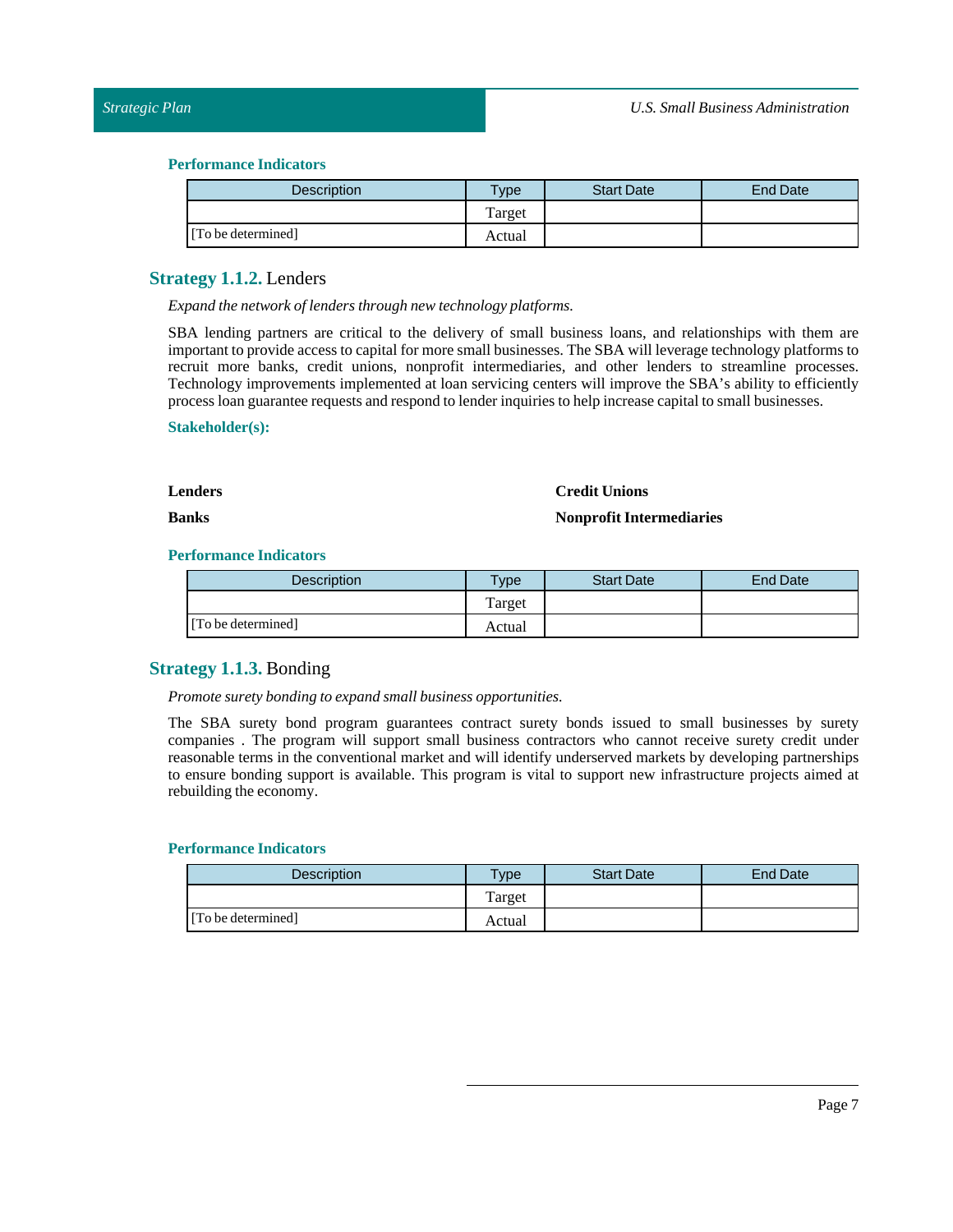| <b>Description</b> | vpe    | <b>Start Date</b> | <b>End Date</b> |
|--------------------|--------|-------------------|-----------------|
|                    | Target |                   |                 |
| [To be determined] | Actual |                   |                 |

## <span id="page-6-0"></span>**Strategy 1.1.2.** Lenders

*Expand the network oflenders through new technology platforms.*

SBA lending partners are critical to the delivery of small business loans, and relationships with them are important to provide access to capital for more small businesses. The SBA will leverage technology platforms to recruit more banks, credit unions, nonprofit intermediaries, and other lenders to streamline processes. Technology improvements implemented at loan servicing centers will improve the SBA's ability to efficiently process loan guarantee requests and respond to lender inquiries to help increase capital to small businesses.

### **Stakeholder(s):**

#### **Lenders**

### **Credit Unions**

**Banks**

### **Nonprofit Intermediaries**

### **Performance Indicators**

| <b>Description</b> | $T$ <sub>V</sub> $pe$ | <b>Start Date</b> | <b>End Date</b> |
|--------------------|-----------------------|-------------------|-----------------|
|                    | Target                |                   |                 |
| [To be determined] | Actual                |                   |                 |

## <span id="page-6-1"></span>**Strategy 1.1.3.** Bonding

*Promote surety bonding to expand small business opportunities.*

The SBA surety bond program guarantees contract surety bonds issued to small businesses by surety companies . The program will support small business contractors who cannot receive surety credit under reasonable terms in the conventional market and will identify underserved markets by developing partnerships to ensure bonding support is available. This program is vital to support new infrastructure projects aimed at rebuilding the economy.

| <b>Description</b> | $T$ ype | <b>Start Date</b> | <b>End Date</b> |
|--------------------|---------|-------------------|-----------------|
|                    | Target  |                   |                 |
| [To be determined] | Actual  |                   |                 |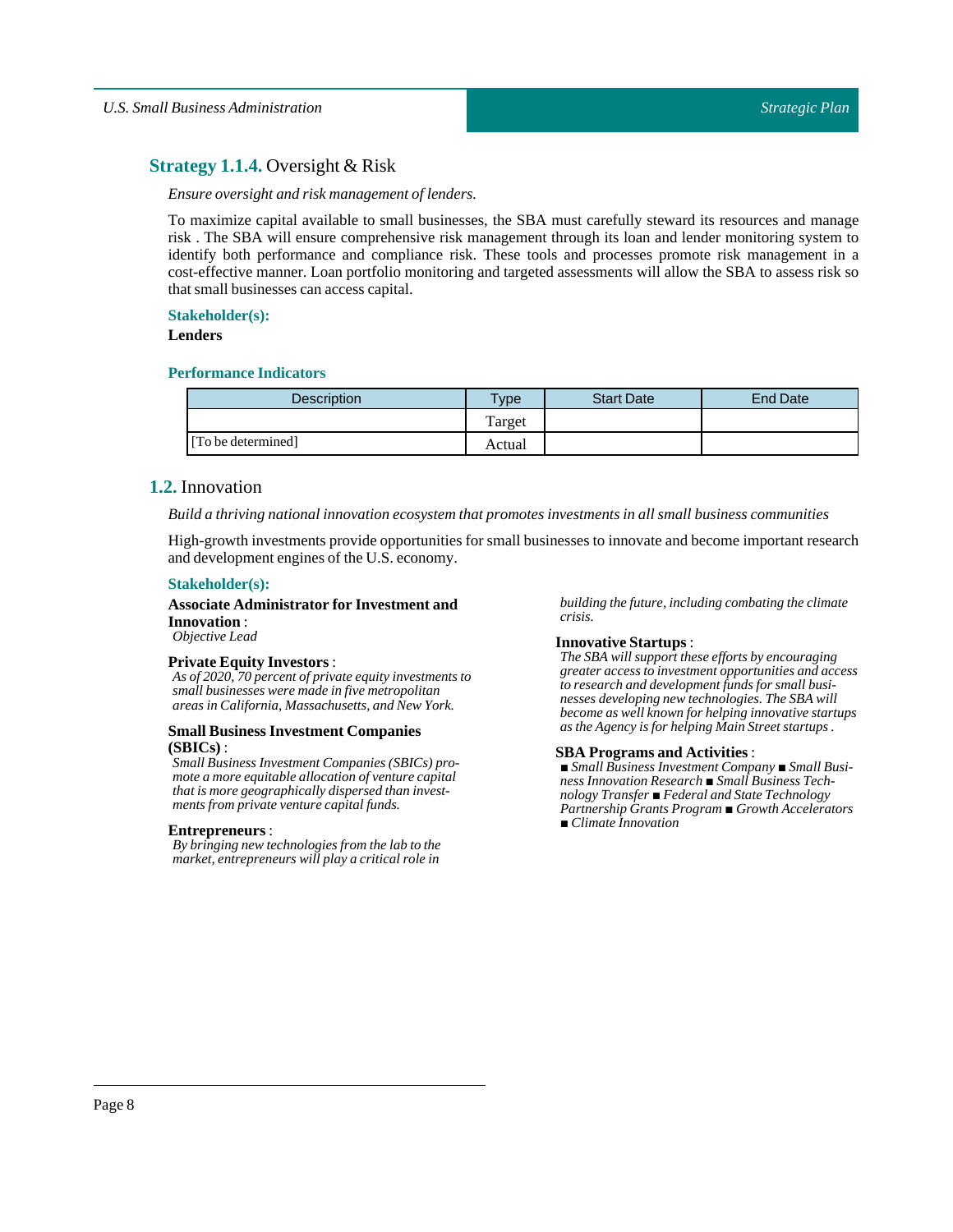## <span id="page-7-0"></span>**Strategy 1.1.4.** Oversight & Risk

### *Ensure oversight and risk management oflenders.*

To maximize capital available to small businesses, the SBA must carefully steward its resources and manage risk . The SBA will ensure comprehensive risk management through its loan and lender monitoring system to identify both performance and compliance risk. These tools and processes promote risk management in a cost-effective manner. Loan portfolio monitoring and targeted assessments will allow the SBA to assess risk so that small businesses can access capital.

### **Stakeholder(s):**

### **Lenders**

### **Performance Indicators**

| <b>Description</b> | Type   | <b>Start Date</b> | <b>End Date</b> |
|--------------------|--------|-------------------|-----------------|
|                    | Target |                   |                 |
| [To be determined] | Actual |                   |                 |

## <span id="page-7-1"></span>**1.2.** Innovation

*Build a thriving nationalinnovation ecosystem that promotes investments in all small business communities*

High-growth investments provide opportunities for small businesses to innovate and become important research and development engines of the U.S. economy.

#### **Stakeholder(s):**

#### **Associate Administrator for Investment and Innovation**: *Objective Lead*

#### **Private Equity Investors** :

*As of 2020, 70 percent of private equity investments to small businesses were made in five metropolitan areas in California, Massachusetts, and New York.*

### **Small Business Investment Companies (SBICs)** :

*Small Business Investment Companies (SBICs) promote a more equitable allocation of venture capital that is more geographically dispersed than investments from private venture capital funds.*

#### **Entrepreneurs**:

*By bringing new technologies from the lab to the market, entrepreneurs will play a critical role in*

*building the future, including combating the climate crisis.*

### **Innovative Startups**:

*The SBA will support these efforts by encouraging greater access to investment opportunities and access to research and development funds for small businesses developing new technologies. The SBA will become as well known for helping innovative startups as the Agency is for helping Main Street startups .*

#### **SBA Programs and Activities**:

*■ Small Business Investment Company ■ Small Business Innovation Research ■ Small Business Technology Transfer ■ Federal and State Technology Partnership Grants Program ■ Growth Accelerators ■ Climate Innovation*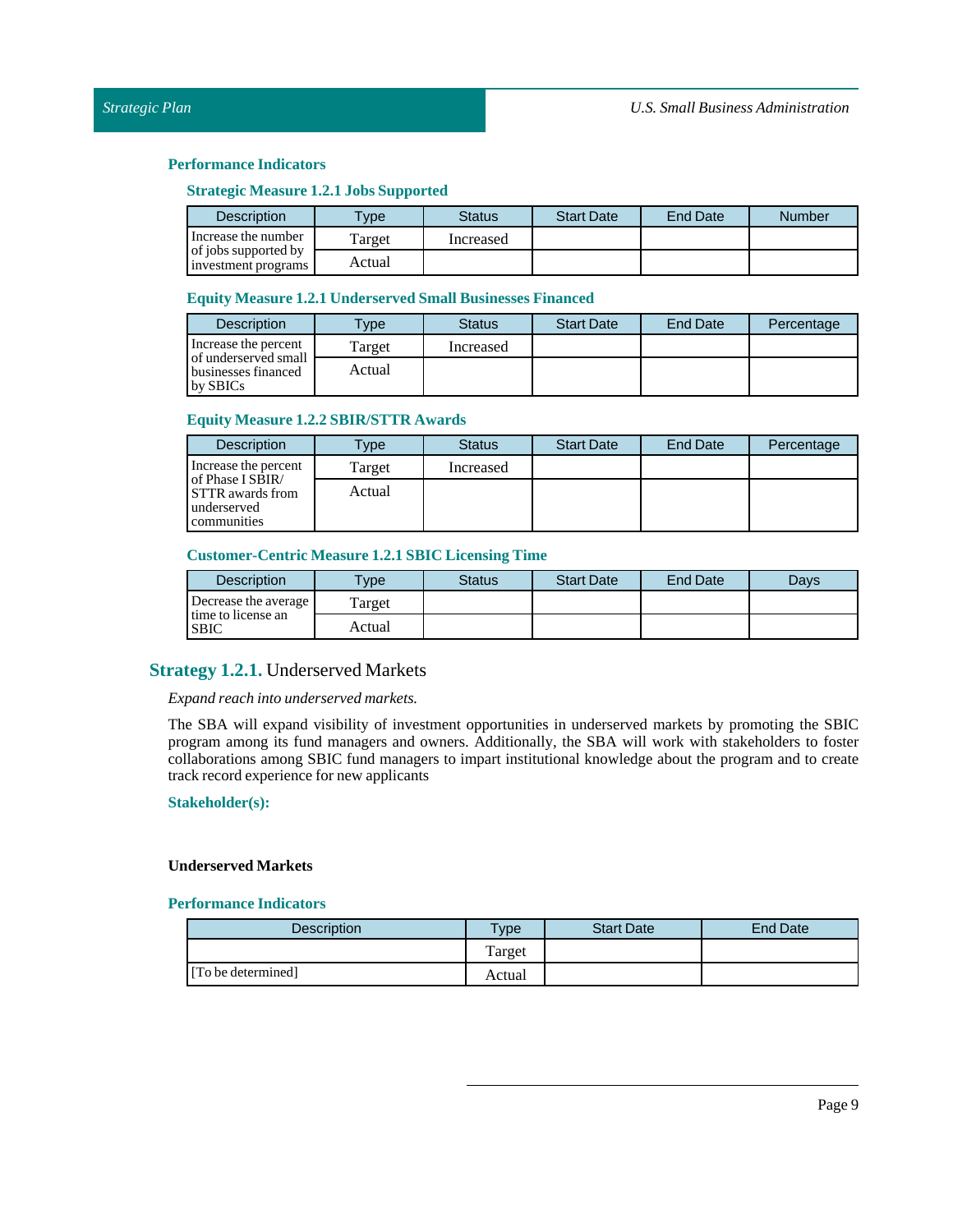### **Strategic Measure 1.2.1 JobsSupported**

| <b>Description</b>                          | <b>Type</b> | Status    | <b>Start Date</b> | End Date | Number |
|---------------------------------------------|-------------|-----------|-------------------|----------|--------|
| Increase the number                         | Target      | Increased |                   |          |        |
| of jobs supported by<br>investment programs | Actual      |           |                   |          |        |

### **Equity Measure 1.2.1 UnderservedSmall Businesses Financed**

| <b>Description</b>                                      | $T$ <sub>V</sub> $pe$ | <b>Status</b> | <b>Start Date</b> | <b>End Date</b> | Percentage |
|---------------------------------------------------------|-----------------------|---------------|-------------------|-----------------|------------|
| Increase the percent                                    | Target                | Increased     |                   |                 |            |
| of underserved small<br>businesses financed<br>by SBICs | Actual                |               |                   |                 |            |

### **Equity Measure 1.2.2SBIR/STTR Awards**

| <b>Description</b>                                                        | Type   | <b>Status</b> | <b>Start Date</b> | <b>End Date</b> | Percentage |
|---------------------------------------------------------------------------|--------|---------------|-------------------|-----------------|------------|
| Increase the percent                                                      | Target | Increased     |                   |                 |            |
| of Phase I SBIR/<br><b>STTR</b> awards from<br>underserved<br>communities | Actual |               |                   |                 |            |

### **Customer-Centric Measure 1.2.1SBIC Licensing Time**

| <b>Description</b>                | $T$ ype | Status | <b>Start Date</b> | <b>End Date</b> | Davs |
|-----------------------------------|---------|--------|-------------------|-----------------|------|
| Decrease the average              | Target  |        |                   |                 |      |
| time to license an<br><b>SBIC</b> | Actual  |        |                   |                 |      |

## <span id="page-8-0"></span>**Strategy 1.2.1.** Underserved Markets

### *Expand reach into underserved markets.*

The SBA will expand visibility of investment opportunities in underserved markets by promoting the SBIC program among its fund managers and owners. Additionally, the SBA will work with stakeholders to foster collaborations among SBIC fund managers to impart institutional knowledge about the program and to create track record experience for new applicants

### **Stakeholder(s):**

### **Underserved Markets**

| Description        | <b>Type</b> | <b>Start Date</b> | <b>End Date</b> |
|--------------------|-------------|-------------------|-----------------|
|                    | Target      |                   |                 |
| [To be determined] | Actual      |                   |                 |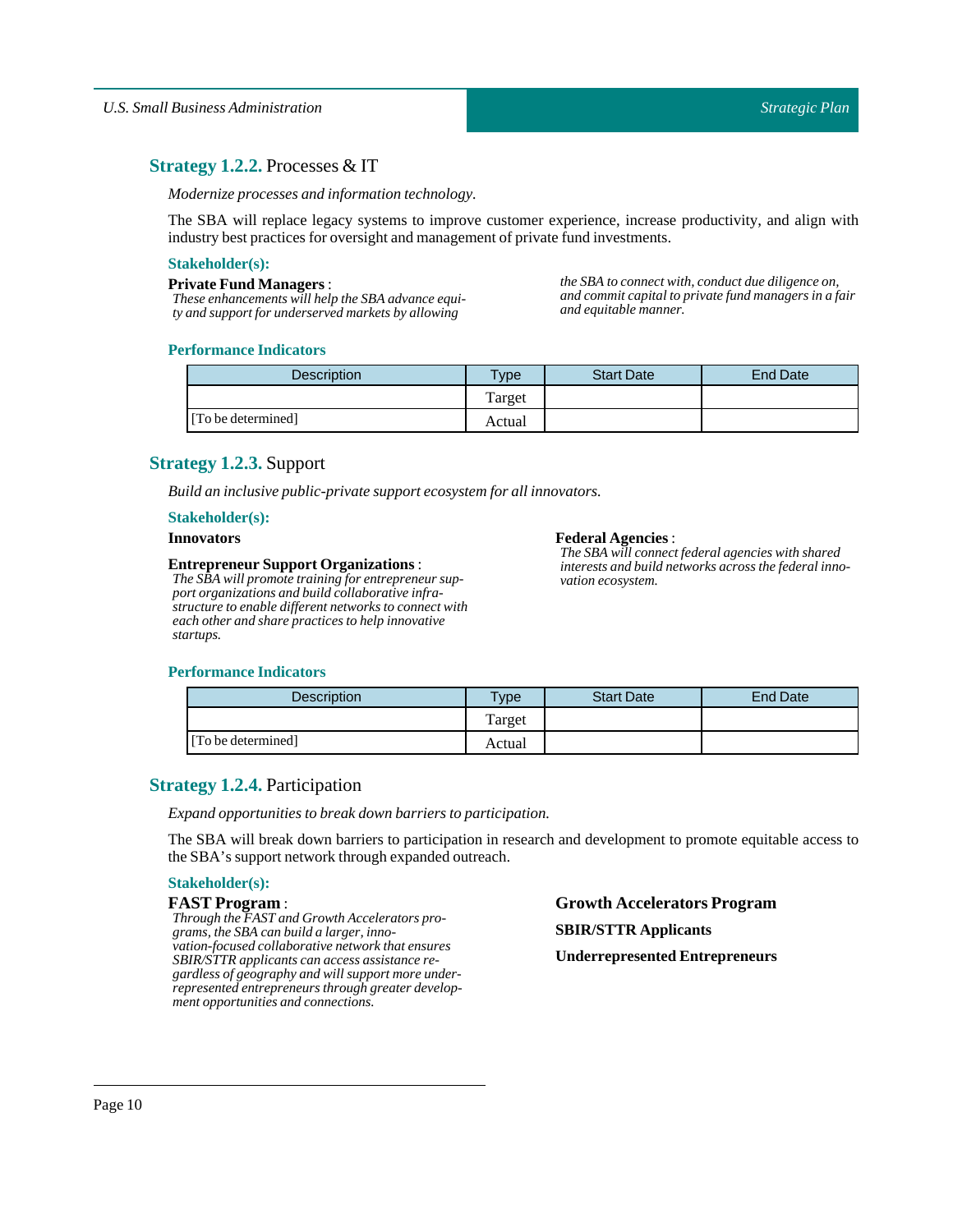## <span id="page-9-0"></span>**Strategy 1.2.2.** Processes & IT

*Modernize processes and information technology.*

The SBA will replace legacy systems to improve customer experience, increase productivity, and align with industry best practices for oversight and management of private fund investments.

### **Stakeholder(s):**

#### **Private Fund Managers**:

*These enhancements will help the SBA advance equity and support for underserved markets by allowing*

*the SBA to connect with, conduct due diligence on, and commit capital to private fund managers in a fair and equitable manner.*

### **Performance Indicators**

| <b>Description</b> | $T$ <sub>ype</sub> | <b>Start Date</b> | <b>End Date</b> |
|--------------------|--------------------|-------------------|-----------------|
|                    | Target             |                   |                 |
| [To be determined] | Actual             |                   |                 |

## <span id="page-9-1"></span>**Strategy 1.2.3.** Support

*Build an inclusive public-private support ecosystem for allinnovators.*

### **Stakeholder(s):**

#### **Innovators**

### **Entrepreneur Support Organizations**:

*The SBA will promote training for entrepreneur support organizations and build collaborative infrastructure to enable different networks to connect with each other and share practices to help innovative startups.*

#### **Federal Agencies** :

*The SBA will connect federal agencies with shared interests and build networks across the federal innovation ecosystem.*

### **Performance Indicators**

| <b>Description</b> | $TV$ pe | <b>Start Date</b> | <b>End Date</b> |
|--------------------|---------|-------------------|-----------------|
|                    | Target  |                   |                 |
| [To be determined] | Actual  |                   |                 |

## <span id="page-9-2"></span>**Strategy 1.2.4.** Participation

*Expand opportunities to break down barriers to participation.*

The SBA will break down barriers to participation in research and development to promote equitable access to theSBA's support network through expanded outreach.

### **Stakeholder(s):**

#### **FAST Program** :

*Through the FAST and Growth Accelerators programs, the SBA can build a larger, innovation-focused collaborative network that ensures SBIR/STTR applicants can access assistance regardless of geography and will support more underrepresented entrepreneurs through greater development opportunities and connections.*

**Growth Accelerators Program SBIR/STTR Applicants Underrepresented Entrepreneurs**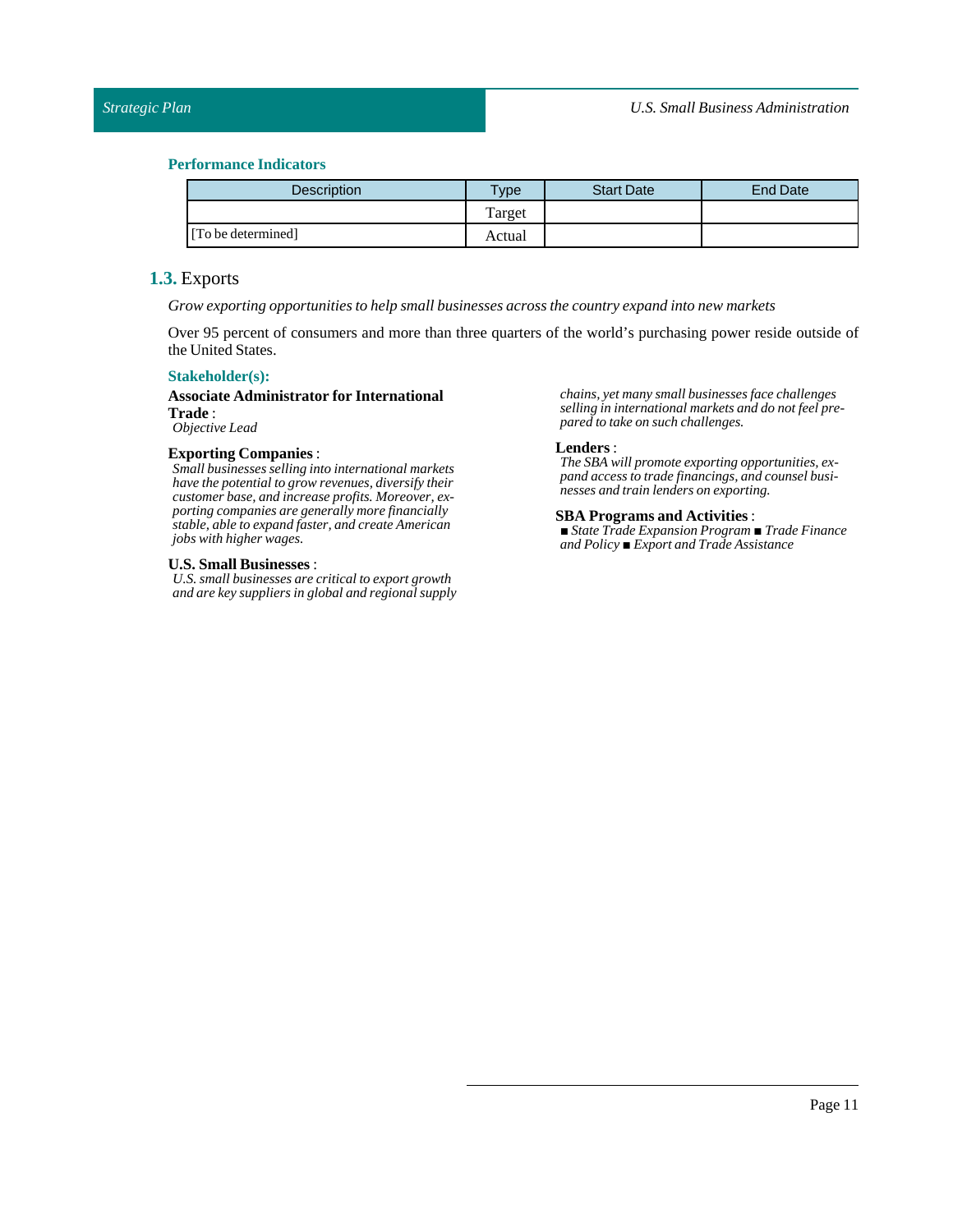| <b>Description</b> | $v_{\rm p}$ | <b>Start Date</b> | <b>End Date</b> |
|--------------------|-------------|-------------------|-----------------|
|                    | Target      |                   |                 |
| [To be determined] | Actual      |                   |                 |

## <span id="page-10-0"></span>**1.3.** Exports

*Grow exporting opportunities to help small businesses across the country expand into new markets*

Over 95 percent of consumers and more than three quarters of the world's purchasing power reside outside of the United States.

### **Stakeholder(s):**

## **Associate Administrator for International Trade** :

*Objective Lead*

### **Exporting Companies** :

*Small businesses selling into international markets have the potential to grow revenues, diversify their customer base, and increase profits. Moreover, exporting companies are generally more financially stable, able to expand faster, and create American jobs with higher wages.*

### **U.S.Small Businesses** :

*U.S. small businesses are critical to export growth and are key suppliers in global and regional supply* *chains, yet many small businesses face challenges selling in international markets and do not feel prepared to take on such challenges.*

#### **Lenders** :

*The SBA will promote exporting opportunities, expand access to trade financings, and counsel businesses and train lenders on exporting.*

#### **SBA Programs and Activities**:

*■ State Trade Expansion Program ■ Trade Finance and Policy ■ Export and Trade Assistance*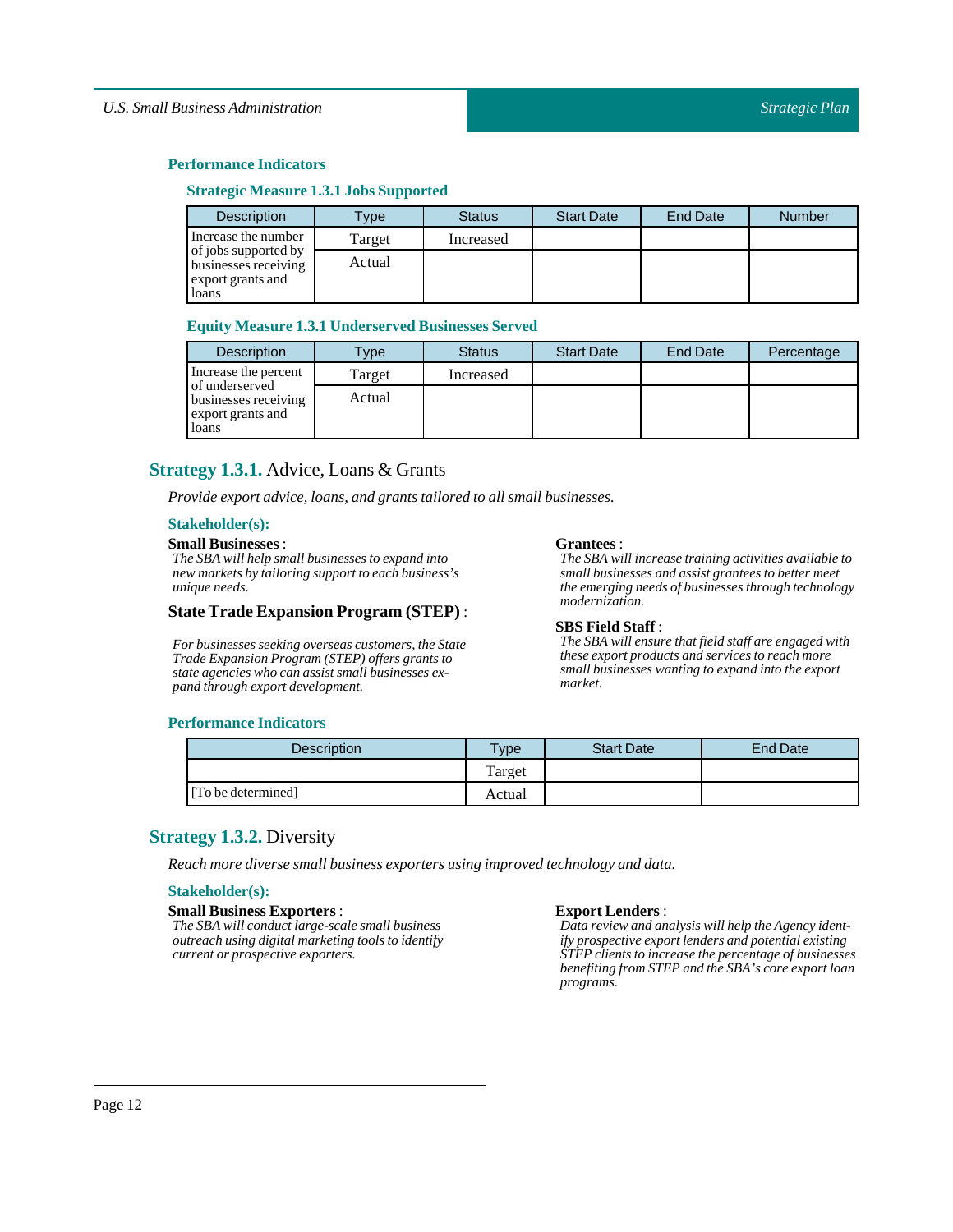### **Performance Indicators**

### **Strategic Measure 1.3.1 JobsSupported**

| Description                                                       | Type   | <b>Status</b> | <b>Start Date</b> | <b>End Date</b> | <b>Number</b> |
|-------------------------------------------------------------------|--------|---------------|-------------------|-----------------|---------------|
| Increase the number                                               | Target | Increased     |                   |                 |               |
| of jobs supported by<br>businesses receiving<br>export grants and | Actual |               |                   |                 |               |
| loans                                                             |        |               |                   |                 |               |

### **Equity Measure 1.3.1 Underserved Businesses Served**

| <b>Description</b>                                                   | Type   | <b>Status</b> | <b>Start Date</b> | <b>End Date</b> | Percentage |
|----------------------------------------------------------------------|--------|---------------|-------------------|-----------------|------------|
| Increase the percent                                                 | Target | Increased     |                   |                 |            |
| of underserved<br>businesses receiving<br>export grants and<br>loans | Actual |               |                   |                 |            |

## <span id="page-11-0"></span>**Strategy 1.3.1.** Advice, Loans & Grants

*Provide export advice, loans, and grants tailored to all small businesses.* 

## **Stakeholder(s):**

### **Small Businesses**:

*The SBA will help small businesses to expand into new markets by tailoring support to each business's unique needs.*

### **State Trade Expansion Program (STEP)** :

*For businesses seeking overseas customers, the State Trade Expansion Program (STEP) offers grants to state agencies who can assist small businesses expand through export development.*

#### **Grantees**:

*The SBA will increase training activities available to small businesses and assist grantees to better meet the emerging needs of businesses through technology modernization.*

#### **SBS** Field Staff:

*The SBA will ensure that field staff are engaged with these export products and services to reach more small businesses wanting to expand into the export market.*

### **Performance Indicators**

| <b>Description</b> | $T$ <sub>ype</sub> | <b>Start Date</b> | <b>End Date</b> |
|--------------------|--------------------|-------------------|-----------------|
|                    | Target             |                   |                 |
| [To be determined] | Actual             |                   |                 |

## <span id="page-11-1"></span>**Strategy 1.3.2.** Diversity

*Reach more diverse small business exporters using improved technology and data.*

### **Stakeholder(s):**

#### **Small Business Exporters** :

*The SBA will conduct large-scale small business outreach using digital marketing tools to identify current or prospective exporters.*

### **Export Lenders** :

*Data review and analysis will help the Agency identify prospective export lenders and potential existing STEP clients to increase the percentage of businesses benefiting from STEP and the SBA's core export loan programs.*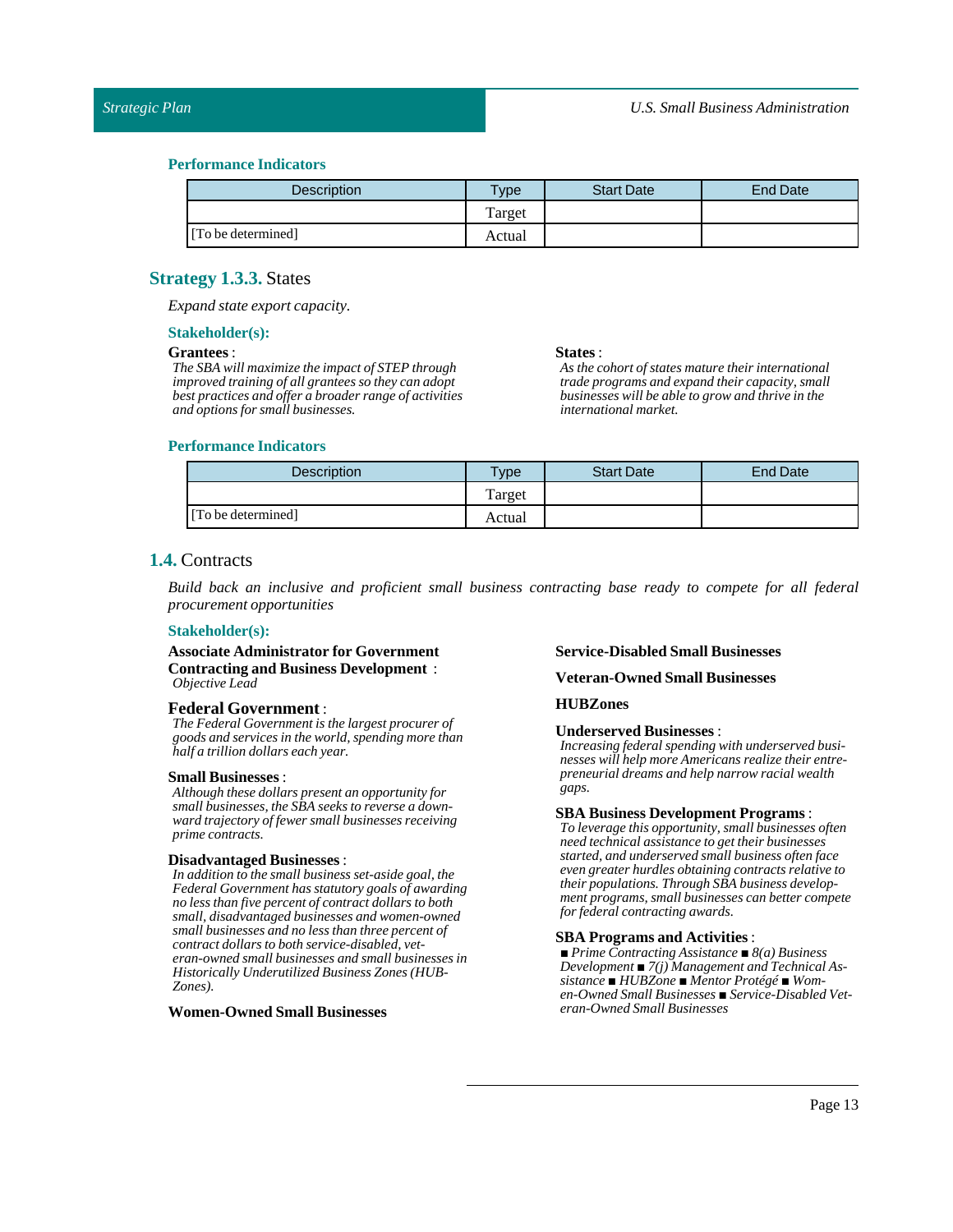| <b>Description</b> | <b>Type</b> | <b>Start Date</b> | <b>End Date</b> |
|--------------------|-------------|-------------------|-----------------|
|                    | Target      |                   |                 |
| [To be determined] | Actual      |                   |                 |

### <span id="page-12-0"></span>**Strategy 1.3.3.** States

*Expand state export capacity.*

#### **Stakeholder(s):**

#### **Grantees**:

*The SBA will maximize the impact of STEP through improved training of all grantees so they can adopt best practices and offer a broader range of activities and options for small businesses.*

#### **States** :

*As the cohort of states mature their international trade programs and expand their capacity, small businesses will be able to grow and thrive in the international market.*

### **Performance Indicators**

| Description        | $T$ vpe | <b>Start Date</b> | End Date |
|--------------------|---------|-------------------|----------|
|                    | Target  |                   |          |
| [To be determined] | Actual  |                   |          |

## <span id="page-12-1"></span>**1.4.** Contracts

*Build back an inclusive and proficient small business contracting base ready to compete for all federal procurement opportunities*

### **Stakeholder(s):**

**Associate Administrator for Government Contracting and Business Development** : *Objective Lead*

### **Federal Government** :

*The Federal Government is the largest procurer of goods and services in the world, spending more than half a trillion dollars each year.*

#### **Small Businesses**:

*Although these dollars present an opportunity for small businesses, the SBA seeks to reverse a downward trajectory of fewer small businesses receiving prime contracts.*

### **Disadvantaged Businesses** :

*In addition to the small business set-aside goal, the Federal Government has statutory goals of awarding no less than five percent of contract dollars to both small, disadvantaged businesses and women-owned small businesses and no less than three percent of contract dollars to both service-disabled, veteran-owned small businesses and small businesses in Historically Underutilized Business Zones (HUB-Zones).*

### **Women-OwnedSmall Businesses**

#### **Service-DisabledSmall Businesses**

### **Veteran-OwnedSmall Businesses**

### **HUBZones**

#### **Underserved Businesses** :

*Increasing federal spending with underserved businesses will help more Americans realize their entrepreneurial dreams and help narrow racial wealth gaps.*

#### **SBA Business Development Programs** :

*To leverage this opportunity, small businesses often need technical assistance to get their businesses started, and underserved small business often face even greater hurdles obtaining contracts relative to their populations. Through SBA business development programs, small businesses can better compete for federal contracting awards.*

## **SBA Programs and Activities**:

*■ Prime Contracting Assistance ■ 8(a) Business Development ■ 7(j) Management and Technical Assistance ■ HUBZone ■ Mentor Protégé ■ Women-Owned Small Businesses ■ Service-Disabled Veteran-Owned Small Businesses*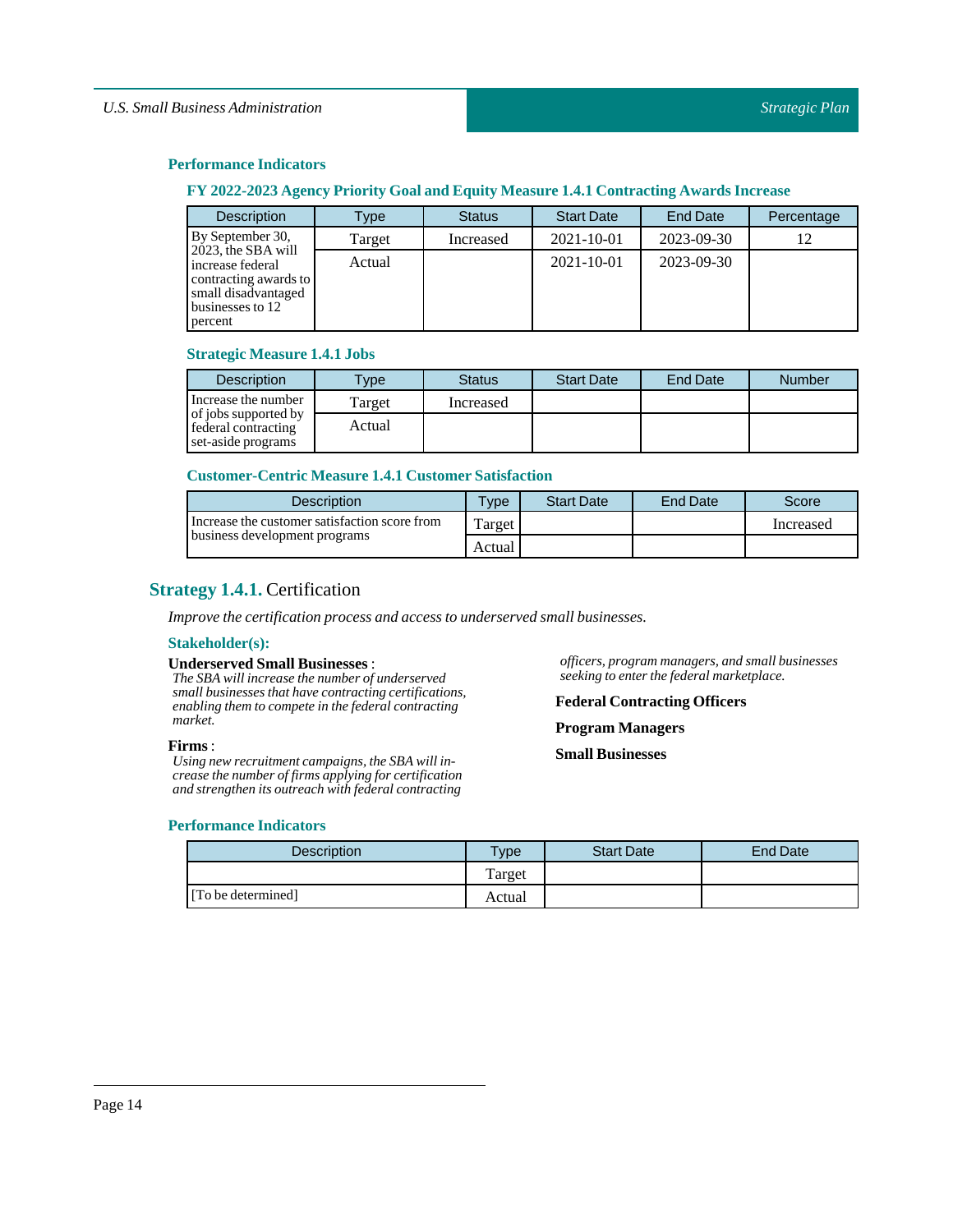### **Performance Indicators**

## **FY 2022-2023 Agency Priority Goal and Equity Measure 1.4.1 Contracting Awards Increase**

| <b>Description</b>                                                                                                    | Type   | <b>Status</b> | <b>Start Date</b> | <b>End Date</b> | Percentage |
|-----------------------------------------------------------------------------------------------------------------------|--------|---------------|-------------------|-----------------|------------|
| By September 30,                                                                                                      | Target | Increased     | 2021-10-01        | 2023-09-30      |            |
| 2023, the SBA will<br>increase federal<br>contracting awards to<br>small disadvantaged<br>businesses to 12<br>percent | Actual |               | $2021 - 10 - 01$  | 2023-09-30      |            |

## **Strategic Measure 1.4.1 Jobs**

| <b>Description</b>                                                | $T$ <sub>V</sub> $pe$ | <b>Status</b> | <b>Start Date</b> | <b>End Date</b> | <b>Number</b> |
|-------------------------------------------------------------------|-----------------------|---------------|-------------------|-----------------|---------------|
| Increase the number                                               | Target                | Increased     |                   |                 |               |
| of jobs supported by<br>federal contracting<br>set-aside programs | Actual                |               |                   |                 |               |

### **Customer-Centric Measure 1.4.1 Customer Satisfaction**

| Description                                                                    | $T$ <sub>V</sub> $pe$ | <b>Start Date</b> | <b>End Date</b> | Score     |
|--------------------------------------------------------------------------------|-----------------------|-------------------|-----------------|-----------|
| Increase the customer satisfaction score from<br>business development programs | Target                |                   |                 | Increased |
|                                                                                | Actual                |                   |                 |           |

## <span id="page-13-0"></span>**Strategy 1.4.1.** Certification

*Improve the certification process and access to underserved small businesses.*

#### **Stakeholder(s):**

### **UnderservedSmall Businesses** :

*The SBA will increase the number of underserved small businesses that have contracting certifications, enabling them to compete in the federal contracting market.*

### **Firms** :

*Using new recruitment campaigns, the SBA will increase the number of firms applying for certification and strengthen its outreach with federal contracting*

### **Performance Indicators**

*officers, program managers, and small businesses seeking to enter the federal marketplace.*

## **Federal Contracting Officers**

**Program Managers**

**Small Businesses**

| <b>Description</b> | $T$ <sub>V</sub> pe | <b>Start Date</b> | <b>End Date</b> |
|--------------------|---------------------|-------------------|-----------------|
|                    | Target              |                   |                 |
| [To be determined] | Actual              |                   |                 |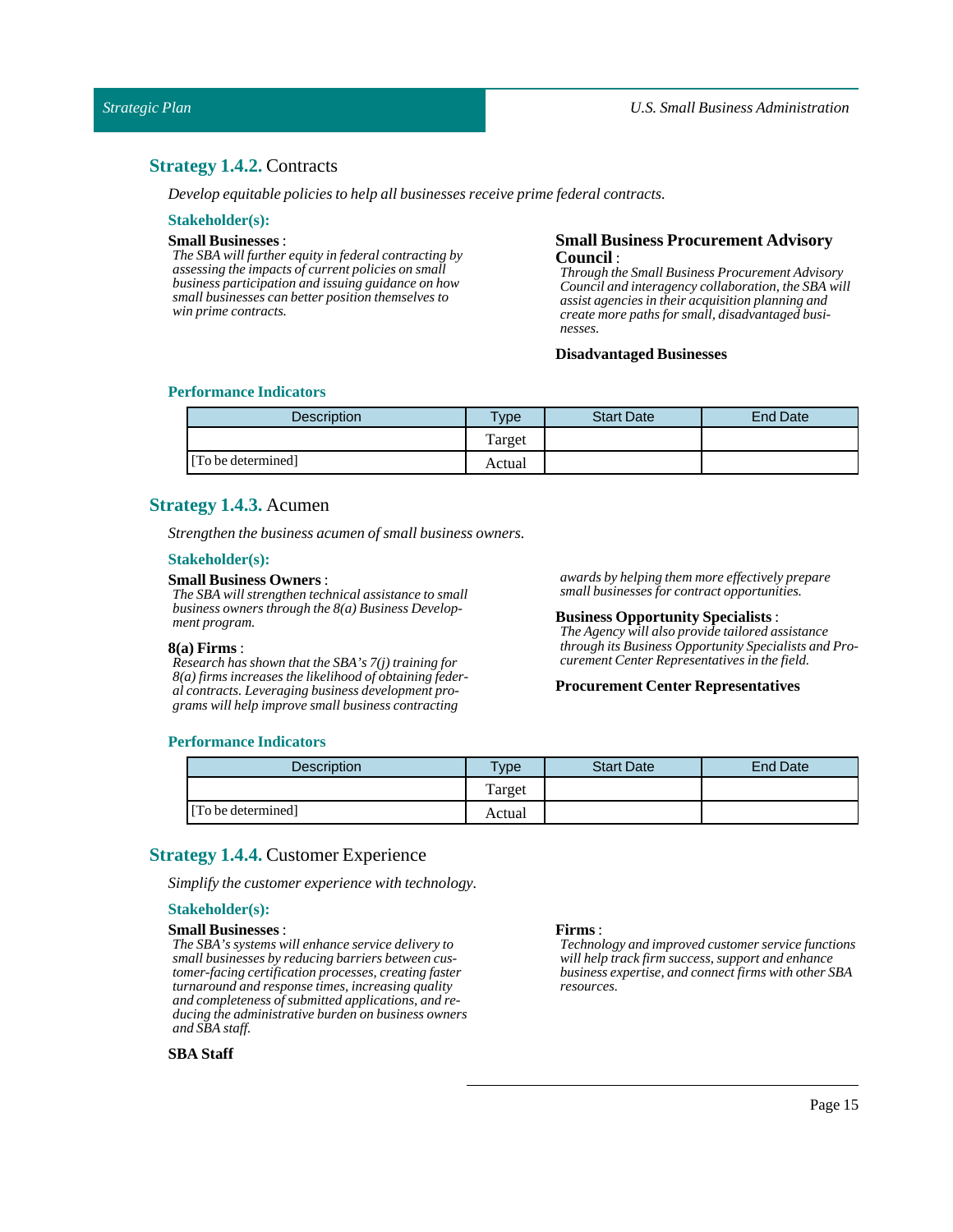### <span id="page-14-0"></span>**Strategy 1.4.2.** Contracts

*Develop equitable policies to help all businesses receive prime federal contracts.*

### **Stakeholder(s):**

### **Small Businesses**:

*The SBA will further equity in federal contracting by assessing the impacts of current policies on small business participation and issuing guidance on how small businesses can better position themselves to win prime contracts.*

### **Small Business Procurement Advisory Council** :

*Through the Small Business Procurement Advisory Council and interagency collaboration, the SBA will assist agencies in their acquisition planning and create more paths for small, disadvantaged businesses.*

### **Disadvantaged Businesses**

### **Performance Indicators**

| <b>Description</b> | $T$ ype | <b>Start Date</b> | End Date |
|--------------------|---------|-------------------|----------|
|                    | Target  |                   |          |
| [To be determined] | Actual  |                   |          |

### <span id="page-14-1"></span>**Strategy 1.4.3.** Acumen

*Strengthen the business acumen of small business owners.*

#### **Stakeholder(s):**

#### **Small Business Owners**:

*The SBA will strengthen technical assistance to small business owners through the 8(a) Business Development program.*

#### **8(a) Firms** :

*Research has shown that the SBA's 7(j) training for 8(a) firms increases the likelihood of obtaining federal contracts. Leveraging business development programs will help improve small business contracting*

*awards by helping them more effectively prepare small businesses for contract opportunities.*

#### **Business Opportunity Specialists**:

*The Agency will also provide tailored assistance through its Business Opportunity Specialists and Procurement Center Representatives in the field.*

#### **Procurement Center Representatives**

#### **Performance Indicators**

| Description        | Type   | <b>Start Date</b> | <b>End Date</b> |
|--------------------|--------|-------------------|-----------------|
|                    | Target |                   |                 |
| [To be determined] | Actual |                   |                 |

## <span id="page-14-2"></span>**Strategy 1.4.4.** Customer Experience

*Simplify the customer experience with technology.*

### **Stakeholder(s):**

### **Small Businesses**:

*The SBA's systems will enhance service delivery to small businesses by reducing barriers between customer-facing certification processes, creating faster turnaround and response times, increasing quality and completeness of submitted applications, and reducing the administrative burden on business owners and SBA staff.*

#### **SBA Staff**

#### **Firms** :

*Technology and improved customer service functions will help track firm success, support and enhance business expertise, and connect firms with other SBA resources.*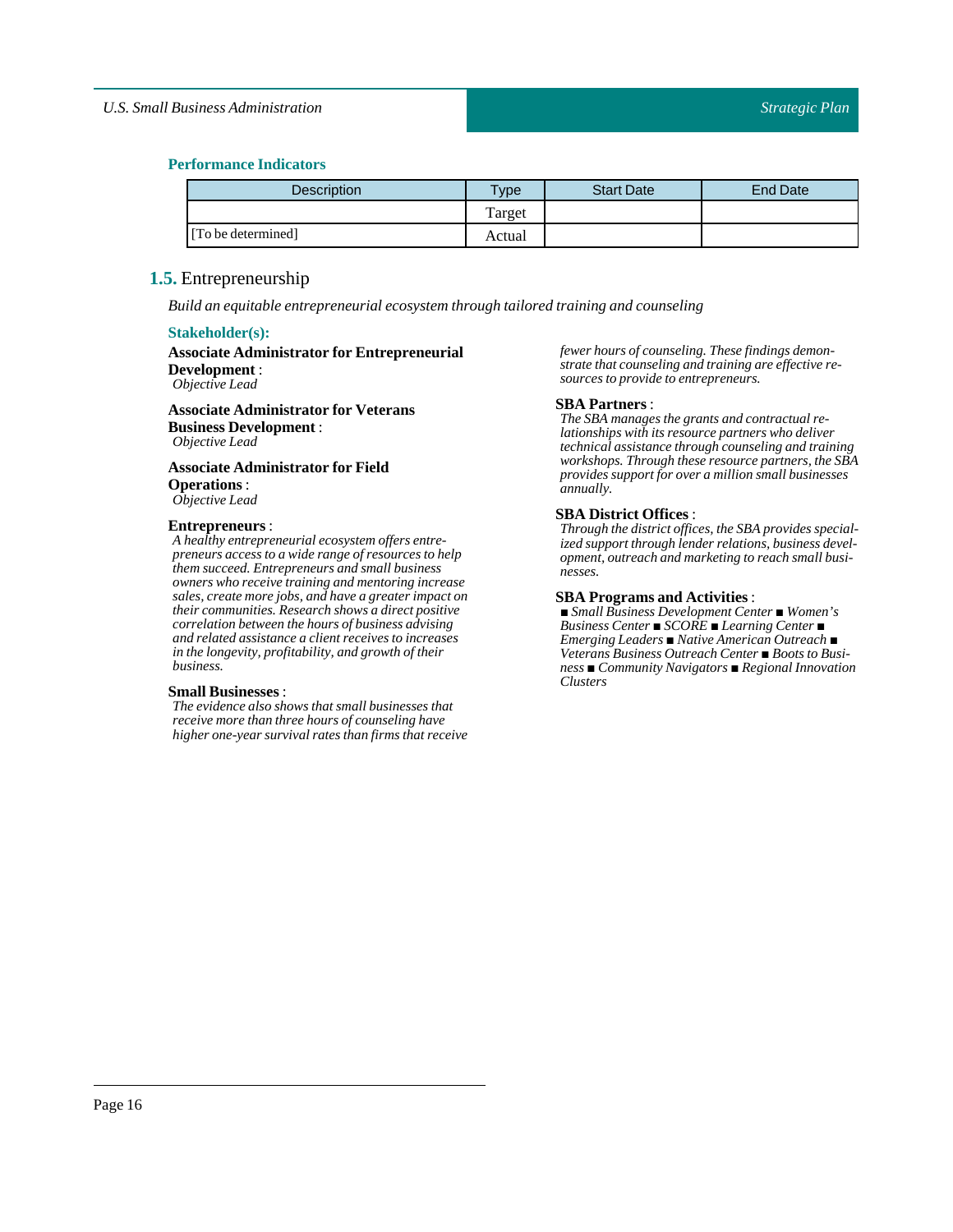### **Performance Indicators**

| <b>Description</b> | Type   | <b>Start Date</b> | <b>End Date</b> |
|--------------------|--------|-------------------|-----------------|
|                    | Target |                   |                 |
| [To be determined] | Actual |                   |                 |

## <span id="page-15-0"></span>**1.5.** Entrepreneurship

*Build an equitable entrepreneurial ecosystem through tailored training and counseling*

#### **Stakeholder(s):**

#### **Associate Administrator for Entrepreneurial Development** : *Objective Lead*

**Associate Administrator for Veterans Business Development** : *Objective Lead*

## **Associate Administrator for Field Operations**:

*Objective Lead*

### **Entrepreneurs**:

*A healthy entrepreneurial ecosystem offers entrepreneurs access to a wide range of resources to help them succeed. Entrepreneurs and small business owners who receive training and mentoring increase sales, create more jobs, and have a greater impact on their communities. Research shows a direct positive correlation between the hours of business advising and related assistance a client receives to increases in the longevity, profitability, and growth of their business.*

### **Small Businesses**:

*The evidence also shows that small businesses that receive more than three hours of counseling have higher one-year survival rates than firms that receive* *fewer hours of counseling. These findings demonstrate that counseling and training are effective resources to provide to entrepreneurs.*

#### **SBA Partners**:

*The SBA manages the grants and contractual relationships with its resource partners who deliver technical assistance through counseling and training workshops. Through these resource partners, the SBA provides support for over a million small businesses annually.*

### **SBA District Offices** :

*Through the district offices, the SBA provides specialized support through lender relations, business development, outreach and marketing to reach small businesses.*

#### **SBA Programs and Activities**:

*■ Small Business Development Center ■ Women's Business Center ■ SCORE ■ Learning Center ■ Emerging Leaders ■ Native American Outreach ■ Veterans Business Outreach Center ■ Boots to Business ■ Community Navigators ■ Regional Innovation Clusters*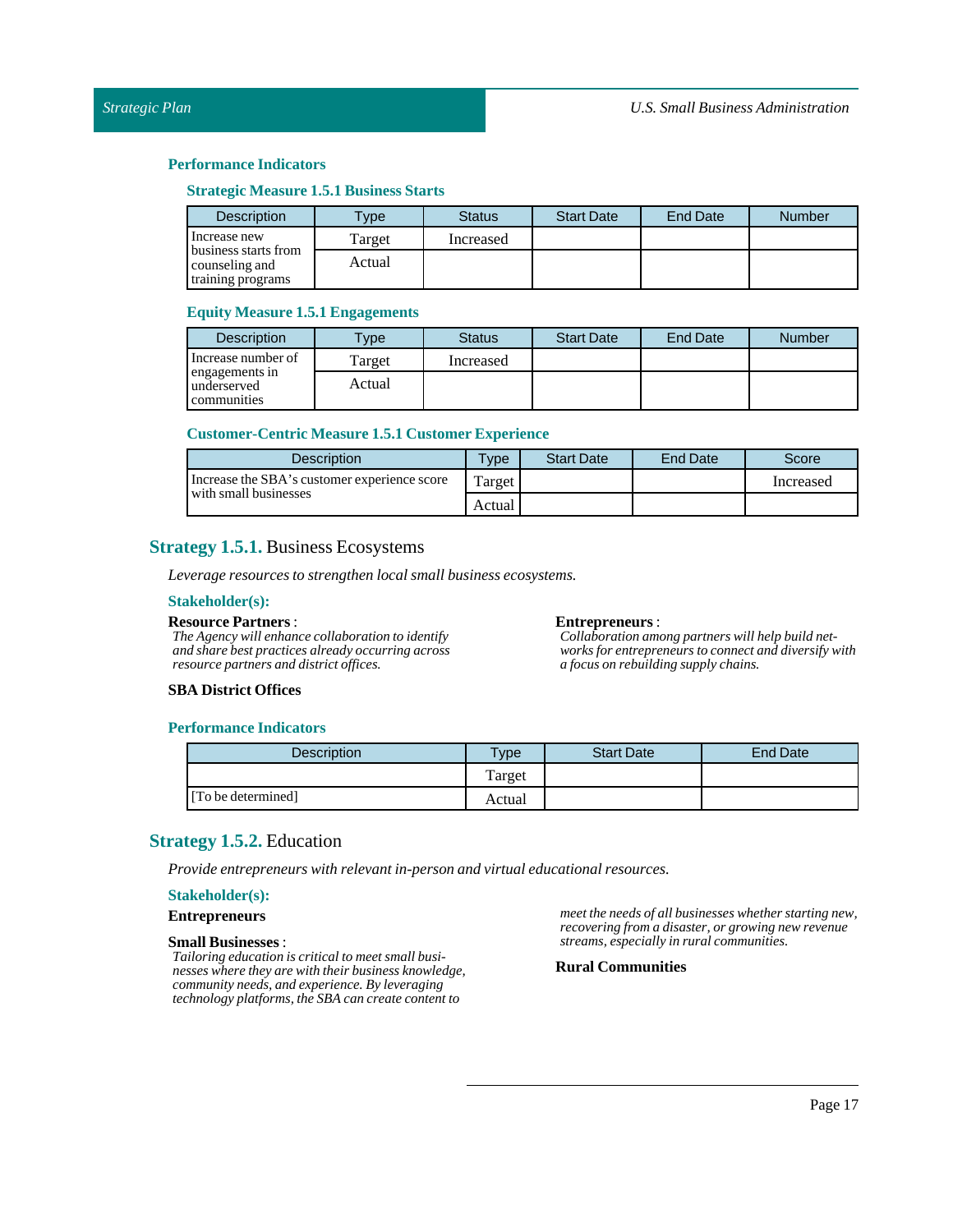### **Strategic Measure 1.5.1 Business Starts**

| <b>Description</b>                                          | <b>Type</b> | <b>Status</b> | <b>Start Date</b> | End Date | <b>Number</b> |
|-------------------------------------------------------------|-------------|---------------|-------------------|----------|---------------|
| Increase new                                                | Target      | Increased     |                   |          |               |
| business starts from<br>counseling and<br>training programs | Actual      |               |                   |          |               |

### **Equity Measure 1.5.1 Engagements**

| <b>Description</b>                           | $T$ ype | <b>Status</b> | <b>Start Date</b> | <b>End Date</b> | <b>Number</b> |
|----------------------------------------------|---------|---------------|-------------------|-----------------|---------------|
| Increase number of                           | Target  | Increased     |                   |                 |               |
| engagements in<br>underserved<br>communities | Actual  |               |                   |                 |               |

#### **Customer-Centric Measure 1.5.1 Customer Experience**

| <b>Description</b>                                                    | $T$ vpe | <b>Start Date</b> | End Date | <b>Score</b> |
|-----------------------------------------------------------------------|---------|-------------------|----------|--------------|
| Increase the SBA's customer experience score<br>with small businesses | Target  |                   |          | Increased    |
|                                                                       | Actual  |                   |          |              |

## <span id="page-16-0"></span>**Strategy 1.5.1.** Business Ecosystems

*Leverage resources to strengthen local small business ecosystems.*

#### **Stakeholder(s):**

#### **Resource Partners** :

*The Agency will enhance collaboration to identify and share best practices already occurring across resource partners and district offices.*

#### **Entrepreneurs**:

*Collaboration among partners will help build networks for entrepreneurs to connect and diversify with a focus on rebuilding supply chains.*

### **SBA District Offices**

### **Performance Indicators**

| Description        | $T$ <sub>V</sub> $pe$ | <b>Start Date</b> | End Date |
|--------------------|-----------------------|-------------------|----------|
|                    | Target                |                   |          |
| [To be determined] | Actual                |                   |          |

## <span id="page-16-1"></span>**Strategy 1.5.2.** Education

*Provide entrepreneurs with relevantin-person and virtual educational resources.*

### **Stakeholder(s):**

**Entrepreneurs**

#### **Small Businesses**:

*Tailoring education is critical to meet small businesses where they are with their business knowledge, community needs, and experience. By leveraging technology platforms, the SBA can create content to*

*meet the needs of all businesses whether starting new, recovering from a disaster, or growing new revenue streams, especially in rural communities.*

### **Rural Communities**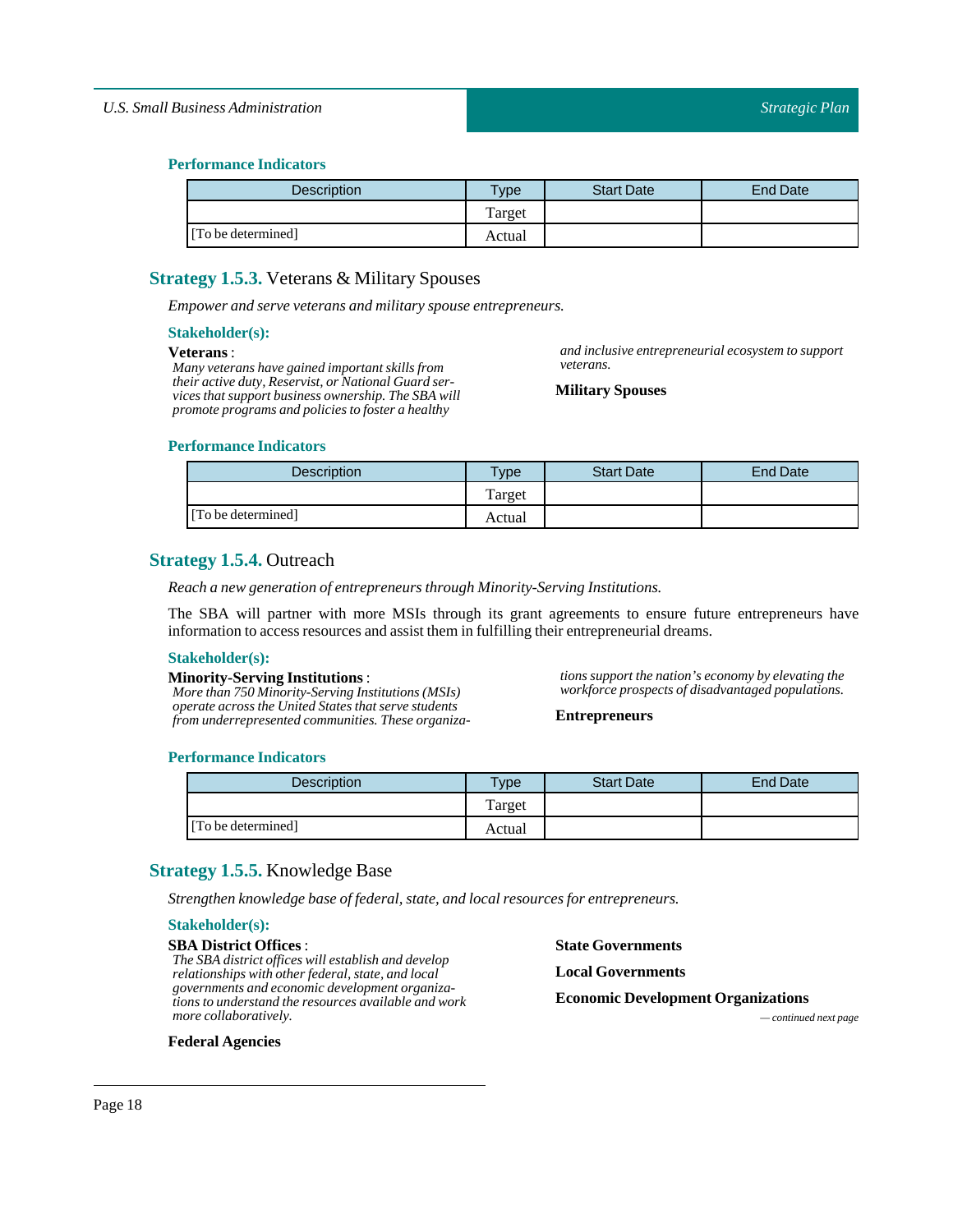| Description        | Type   | <b>Start Date</b> | <b>End Date</b> |
|--------------------|--------|-------------------|-----------------|
|                    | Target |                   |                 |
| [To be determined] | Actual |                   |                 |

## <span id="page-17-0"></span>**Strategy 1.5.3.** Veterans & Military Spouses

*Empower and serve veterans and military spouse entrepreneurs.*

### **Stakeholder(s):**

### **Veterans** :

*Many veterans have gained important skills from their active duty, Reservist, or National Guard services that support business ownership. The SBA will promote programs and policies to foster a healthy*

### **Performance Indicators**

| <b>Description</b> | $T$ <sub>V</sub> pe | <b>Start Date</b> | <b>End Date</b> |
|--------------------|---------------------|-------------------|-----------------|
|                    | Target              |                   |                 |
| [To be determined] | Actual              |                   |                 |

*veterans.*

**MilitarySpouses**

## <span id="page-17-1"></span>**Strategy 1.5.4.** Outreach

*Reach a new generation of entrepreneurs through Minority-Serving Institutions.*

The SBA will partner with more MSIs through its grant agreements to ensure future entrepreneurs have information to access resources and assistthem in fulfilling their entrepreneurial dreams.

#### **Stakeholder(s):**

#### **Minority-Serving Institutions** :

*More than 750 Minority-Serving Institutions (MSIs) operate across the United States that serve students from underrepresented communities. These organiza-* *tions support the nation's economy by elevating the workforce prospects of disadvantaged populations.*

*and inclusive entrepreneurial ecosystem to support*

**Entrepreneurs**

### **Performance Indicators**

| <b>Description</b> | <b>Type</b> | <b>Start Date</b> | <b>End Date</b> |
|--------------------|-------------|-------------------|-----------------|
|                    | Target      |                   |                 |
| [To be determined] | Actual      |                   |                 |

## <span id="page-17-2"></span>**Strategy 1.5.5.** Knowledge Base

*Strengthen knowledge base offederal, state, and local resources for entrepreneurs.*

## **Stakeholder(s):**

**SBA District Offices** : *The SBA district offices will establish and develop relationships with other federal, state, and local governments and economic development organizations to understand the resources available and work more collaboratively.*

**State Governments Local Governments**

**Economic Development Organizations**

*— continued next page*

### **Federal Agencies**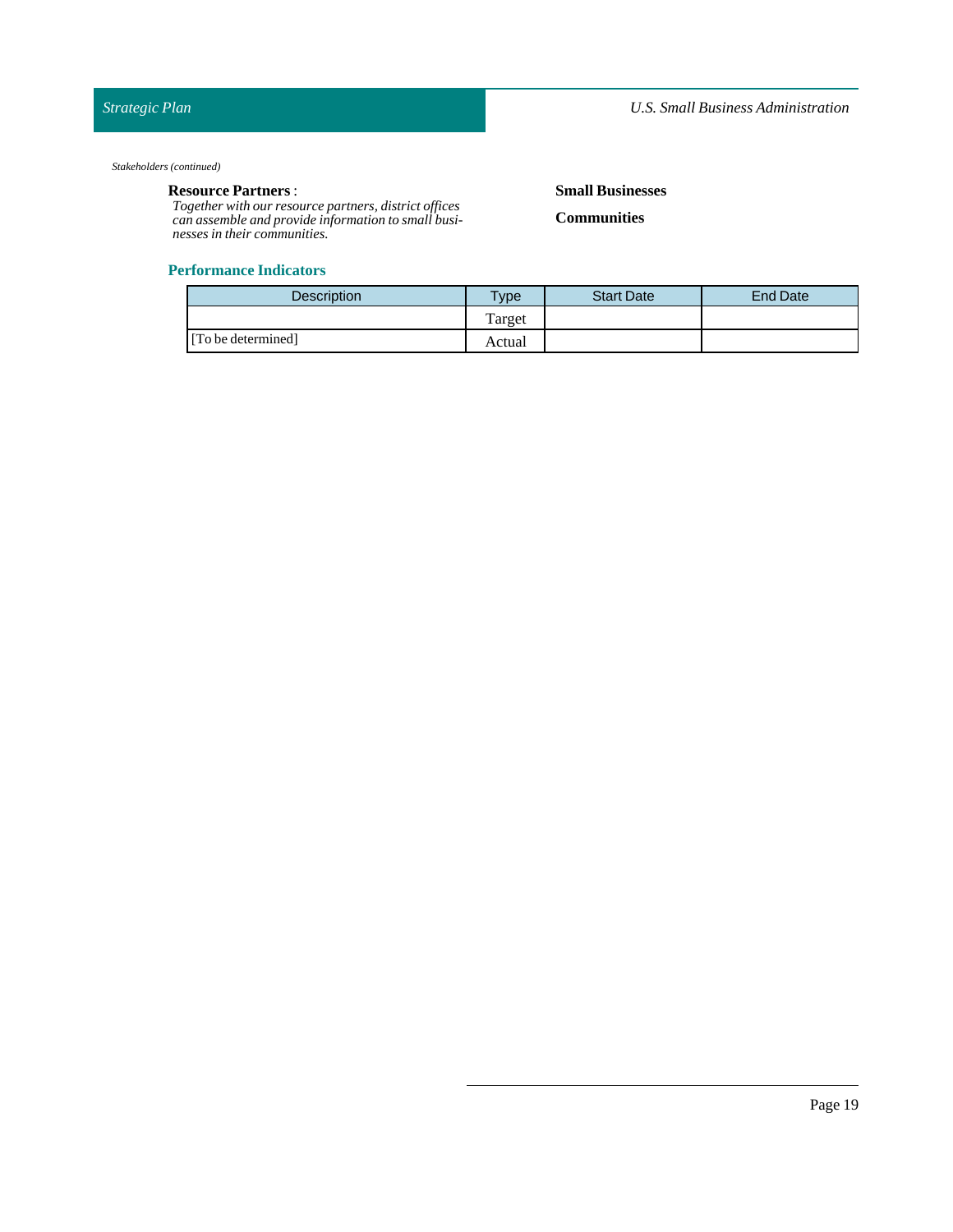#### *Stakeholders (continued)*

## **Resource Partners** :

*Together with our resource partners, district offices can assemble and provide information to small businesses in their communities.*

### **Performance Indicators**

## **Small Businesses**

**Communities**

| <b>Description</b> | $T$ ype | <b>Start Date</b> | <b>End Date</b> |
|--------------------|---------|-------------------|-----------------|
|                    | Target  |                   |                 |
| [To be determined] | Actual  |                   |                 |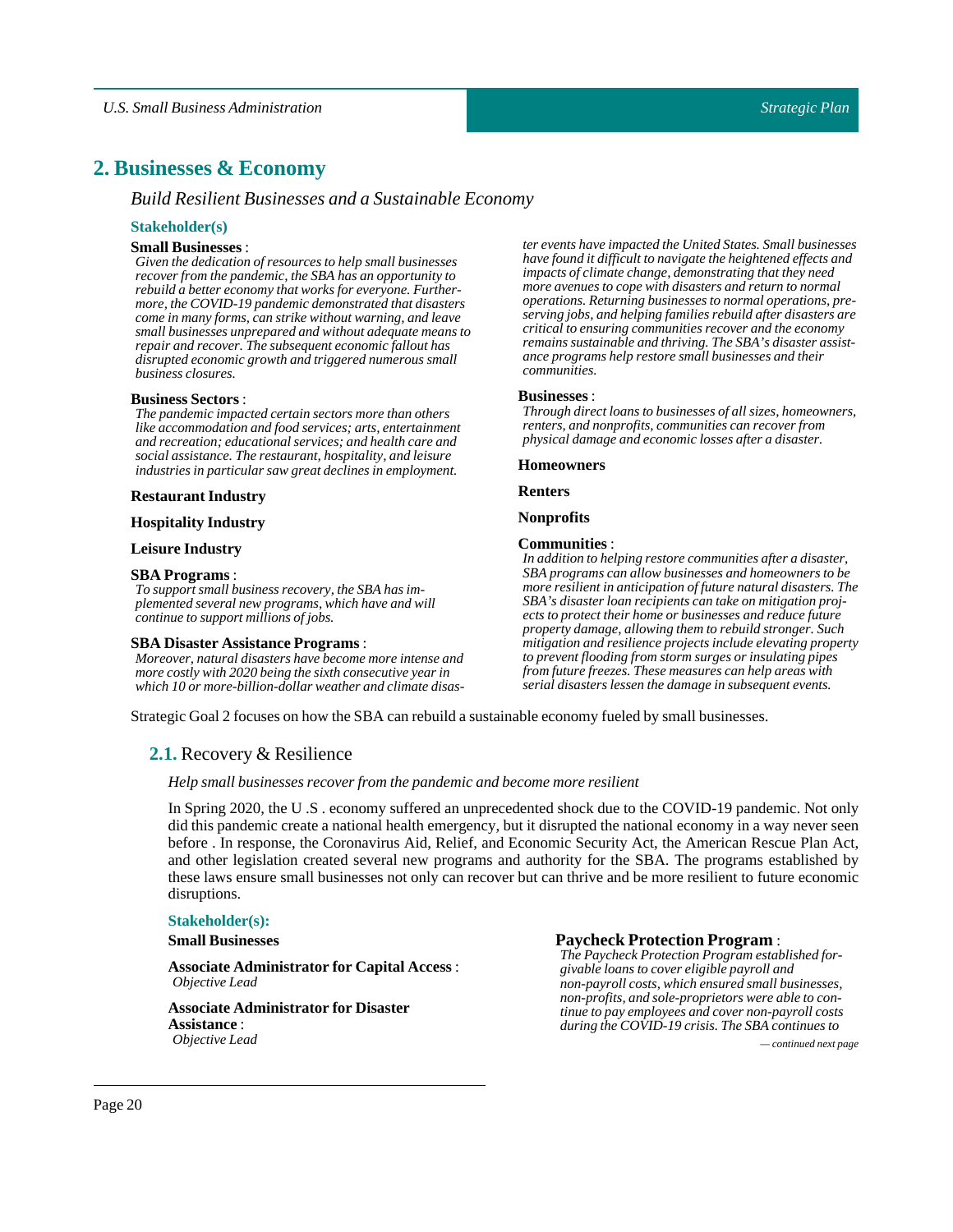## <span id="page-19-0"></span>PLACEHOLDER\_36 **2. Businesses & Economy**

### *Build Resilient Businesses and a Sustainable Economy*

#### **Stakeholder(s)**

### **Small Businesses**:

*Given the dedication of resources to help small businesses recover from the pandemic, the SBA has an opportunity to rebuild a better economy that works for everyone. Furthermore, the COVID-19 pandemic demonstrated that disasters come in many forms, can strike without warning, and leave small businesses unprepared and without adequate means to repair and recover. The subsequent economic fallout has disrupted economic growth and triggered numerous small business closures.*

#### **Business Sectors:**

*The pandemic impacted certain sectors more than others like accommodation and food services; arts, entertainment and recreation; educational services; and health care and social assistance. The restaurant, hospitality, and leisure industries in particular saw great declines in employment.*

#### **Restaurant Industry**

### **Hospitality Industry**

#### **Leisure Industry**

#### **SBA Programs**:

*To support small business recovery, the SBA has implemented several new programs, which have and will continue to support millions of jobs.*

#### **SBA Disaster Assistance Programs**:

*Moreover, natural disasters have become more intense and more costly with 2020 being the sixth consecutive year in which 10 or more-billion-dollar weather and climate disas-* *ter events have impacted the United States. Small businesses have found it difficult to navigate the heightened effects and impacts of climate change, demonstrating that they need more avenues to cope with disasters and return to normal operations. Returning businesses to normal operations, preserving jobs, and helping families rebuild after disasters are critical to ensuring communities recover and the economy remains sustainable and thriving. The SBA's disaster assistance programs help restore small businesses and their communities.*

#### **Businesses** :

*Through direct loans to businesses of all sizes, homeowners, renters, and nonprofits, communities can recover from physical damage and economic losses after a disaster.*

#### **Homeowners**

**Renters**

#### **Nonprofits**

#### **Communities** :

*In addition to helping restore communities after a disaster, SBA programs can allow businesses and homeowners to be more resilient in anticipation of future natural disasters. The SBA's disaster loan recipients can take on mitigation projects to protect their home or businesses and reduce future property damage, allowing them to rebuild stronger. Such mitigation and resilience projects include elevating property to prevent flooding from storm surges or insulating pipes from future freezes. These measures can help areas with serial disasters lessen the damage in subsequent events.*

<span id="page-19-1"></span>Strategic Goal 2 focuses on how the SBA can rebuild a sustainable economy fueled by small businesses.

### **2.1.** Recovery & Resilience

#### *Help small businesses recover from the pandemic and become more resilient*

In Spring 2020, the U .S . economy suffered an unprecedented shock due to the COVID-19 pandemic. Not only did this pandemic create a national health emergency, but it disrupted the national economy in a way never seen before . In response, the Coronavirus Aid, Relief, and Economic Security Act, the American Rescue Plan Act, and other legislation created several new programs and authority for the SBA. The programs established by these laws ensure small businesses not only can recover but can thrive and be more resilient to future economic disruptions.

### **Stakeholder(s):**

**Small Businesses**

**Associate Administrator for Capital Access** : *Objective Lead*

**Associate Administrator for Disaster Assistance** :

**Paycheck Protection Program** :

*The Paycheck Protection Program established forgivable loans to cover eligible payroll and non-payroll costs, which ensured small businesses, non-profits, and sole-proprietors were able to continue to pay employees and cover non-payroll costs during the COVID-19 crisis. The SBA continues to*

*Objective Lead — continued next page*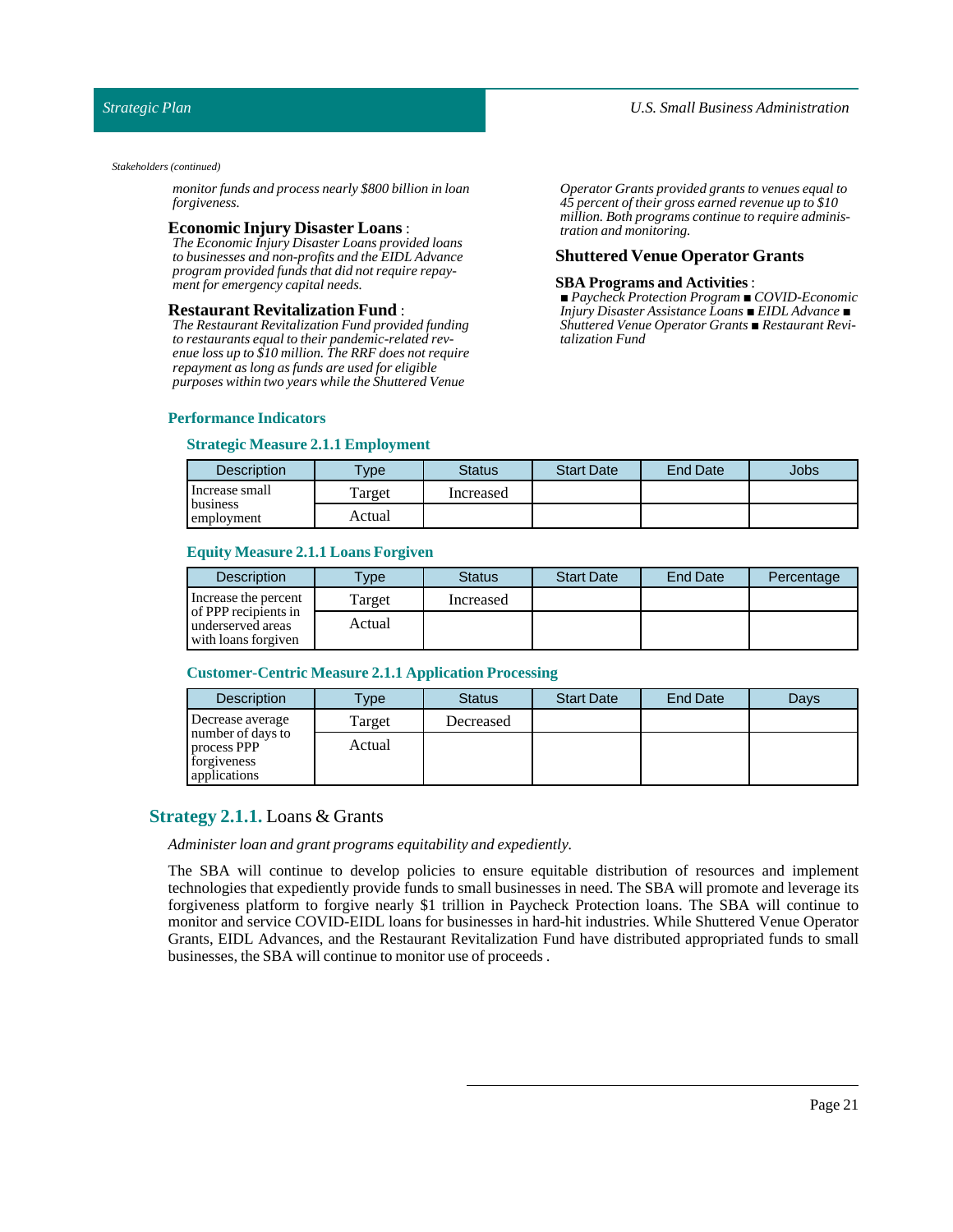### *Strategic Plan*

#### *Stakeholders (continued)*

*monitor funds and process nearly \$800 billion in loan forgiveness.*

### **Economic Injury Disaster Loans** :

*The Economic Injury Disaster Loans provided loans to businesses and non-profits and the EIDL Advance program provided funds that did not require repayment for emergency capital needs.*

#### **Restaurant Revitalization Fund** :

*The Restaurant Revitalization Fund provided funding to restaurants equal to their pandemic-related revenue loss up to \$10 million. The RRF does not require repayment as long as funds are used for eligible purposes within two years while the Shuttered Venue*

### **Performance Indicators**

### **Strategic Measure 2.1.1 Employment**

*Operator Grants provided grants to venues equal to 45 percent of their gross earned revenue up to \$10 million. Both programs continue to require administration and monitoring.*

### **Shuttered Venue Operator Grants**

#### **SBA Programs and Activities**:

*■ Paycheck Protection Program ■ COVID-Economic Injury Disaster Assistance Loans ■ EIDL Advance ■ Shuttered Venue Operator Grants ■ Restaurant Revitalization Fund*

| Description            | $T$ ype | Status    | <b>Start Date</b> | <b>End Date</b> | Jobs |
|------------------------|---------|-----------|-------------------|-----------------|------|
| Increase small         | Target  | Increased |                   |                 |      |
| business<br>employment | Actual  |           |                   |                 |      |

### **Equity Measure 2.1.1 Loans Forgiven**

| <b>Description</b>                                               | <b>Type</b> | <b>Status</b> | <b>Start Date</b> | <b>End Date</b> | Percentage |
|------------------------------------------------------------------|-------------|---------------|-------------------|-----------------|------------|
| Increase the percent                                             | Target      | Increased     |                   |                 |            |
| of PPP recipients in<br>underserved areas<br>with loans forgiven | Actual      |               |                   |                 |            |

#### **Customer-Centric Measure 2.1.1 Application Processing**

| <b>Description</b>                                                     | <b>Type</b> | <b>Status</b> | <b>Start Date</b> | <b>End Date</b> | Days |
|------------------------------------------------------------------------|-------------|---------------|-------------------|-----------------|------|
| Decrease average                                                       | Target      | Decreased     |                   |                 |      |
| number of days to<br>process PPP<br>forgiveness<br><b>applications</b> | Actual      |               |                   |                 |      |

### <span id="page-20-0"></span>**Strategy 2.1.1.** Loans & Grants

*Administer loan and grant programs equitability and expediently.*

The SBA will continue to develop policies to ensure equitable distribution of resources and implement technologies that expediently provide funds to small businesses in need. The SBA will promote and leverage its forgiveness platform to forgive nearly \$1 trillion in Paycheck Protection loans. The SBA will continue to monitor and service COVID-EIDL loans for businesses in hard-hit industries. While Shuttered Venue Operator Grants, EIDL Advances, and the Restaurant Revitalization Fund have distributed appropriated funds to small businesses, the SBA will continue to monitor use of proceeds.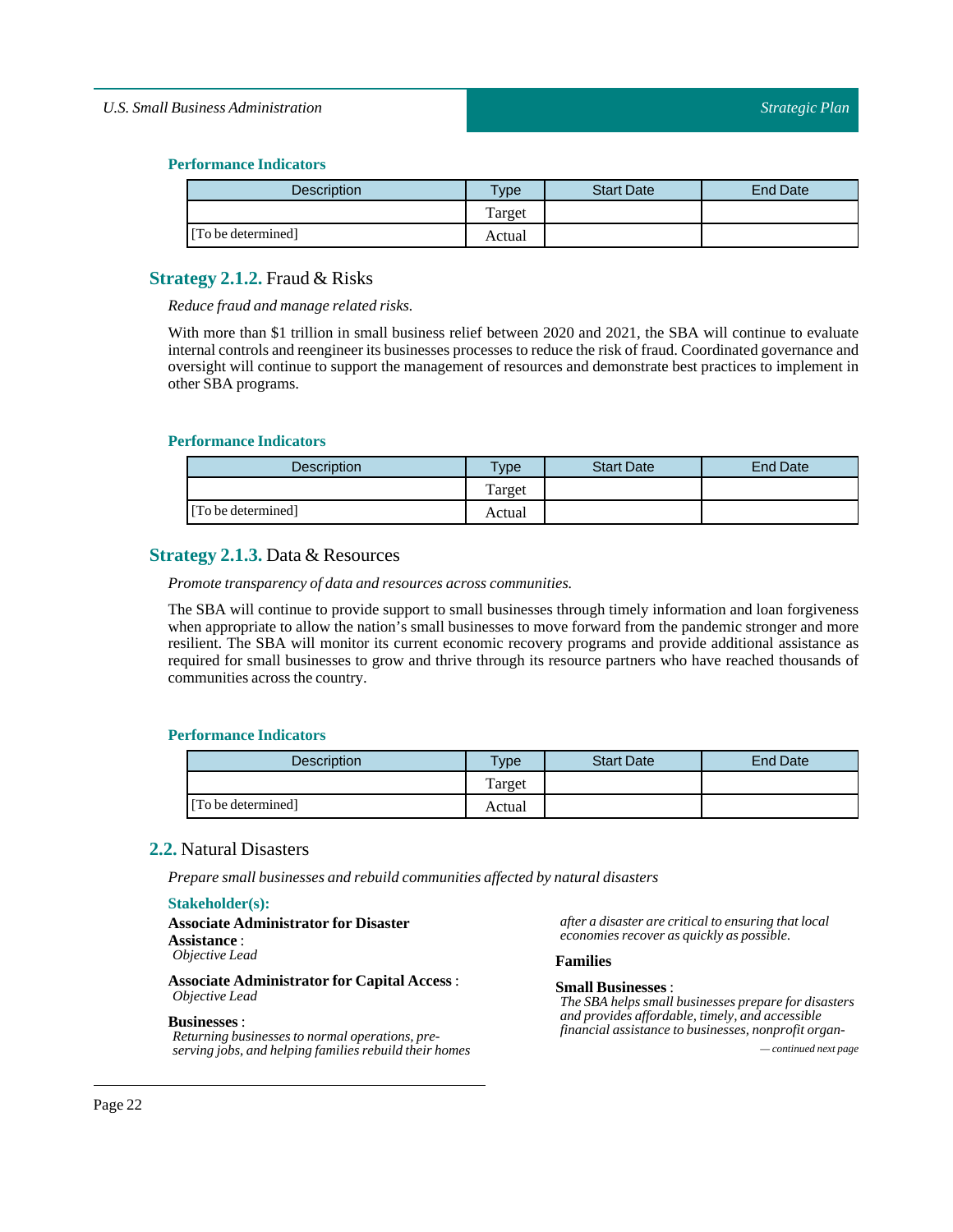### **Performance Indicators**

| <b>Description</b> | $T$ <sub>ype</sub> | <b>Start Date</b> | End Date |
|--------------------|--------------------|-------------------|----------|
|                    | Target             |                   |          |
| [To be determined] | Actual             |                   |          |

## <span id="page-21-0"></span>**Strategy 2.1.2.** Fraud & Risks

*Reduce fraud and manage related risks.*

With more than \$1 trillion in small business relief between 2020 and 2021, the SBA will continue to evaluate internal controls and reengineer its businesses processes to reduce the risk of fraud. Coordinated governance and oversight will continue to support the management of resources and demonstrate best practices to implement in other SBA programs.

### **Performance Indicators**

| <b>Description</b> | <b>Type</b> | <b>Start Date</b> | End Date |
|--------------------|-------------|-------------------|----------|
|                    | Target      |                   |          |
| [To be determined] | Actual      |                   |          |

## <span id="page-21-1"></span>**Strategy 2.1.3.** Data & Resources

*Promote transparency of data and resources across communities.*

The SBA will continue to provide support to small businesses through timely information and loan forgiveness when appropriate to allow the nation's small businesses to move forward from the pandemic stronger and more resilient. The SBA will monitor its current economic recovery programs and provide additional assistance as required for small businesses to grow and thrive through its resource partners who have reached thousands of communities across the country.

### **Performance Indicators**

| Description        | $T$ <sub>V</sub> $pe$ | <b>Start Date</b> | <b>End Date</b> |
|--------------------|-----------------------|-------------------|-----------------|
|                    | Target                |                   |                 |
| [To be determined] | Actual                |                   |                 |

### <span id="page-21-2"></span>**2.2.** Natural Disasters

*Prepare small businesses and rebuild communities affected by natural disasters*

### **Stakeholder(s):**

| <b>Associate Administrator for Disaster</b> |  |
|---------------------------------------------|--|
| Assistance :                                |  |
| Objective Lead                              |  |
|                                             |  |

**Associate Administrator for Capital Access** : *Objective Lead*

#### **Businesses** :

*Returning businesses to normal operations, preserving jobs, and helping families rebuild their homes — continued next page*

*after a disaster are critical to ensuring that local economies recover as quickly as possible.*

### **Families**

#### **Small Businesses**:

*The SBA helps small businesses prepare for disasters and provides affordable, timely, and accessible financial assistance to businesses, nonprofit organ-*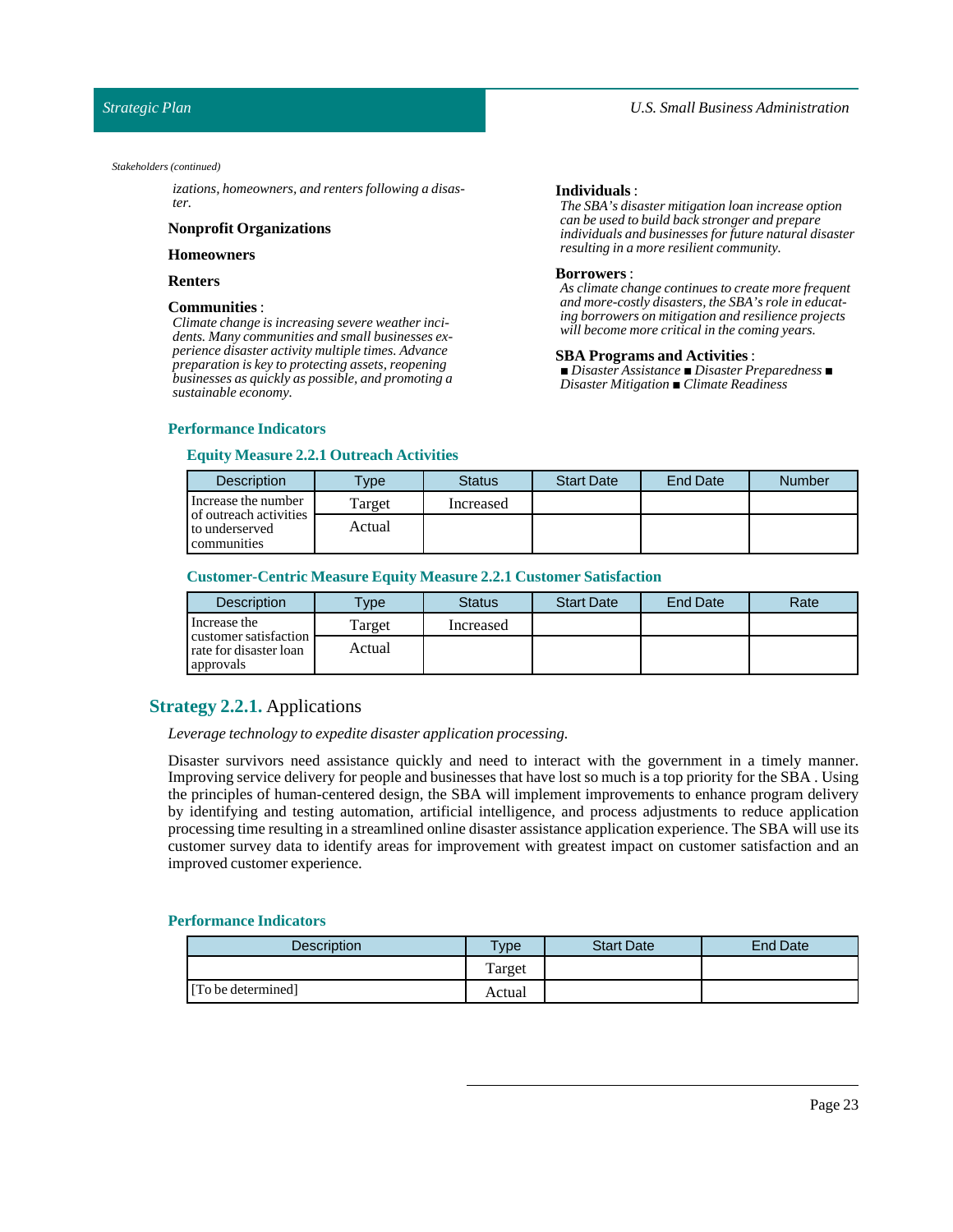#### *Stakeholders (continued)*

*izations, homeowners, and renters following a disaster.*

#### **Nonprofit Organizations**

### **Homeowners**

#### **Renters**

#### **Communities** :

*Climate change is increasing severe weather incidents. Many communities and small businesses experience disaster activity multiple times. Advance preparation is key to protecting assets, reopening businesses as quickly as possible, and promoting a sustainable economy.*

#### **Individuals**:

*The SBA's disaster mitigation loan increase option can be used to build back stronger and prepare individuals and businesses for future natural disaster resulting in a more resilient community.*

#### **Borrowers** :

*As climate change continues to create more frequent and more-costly disasters, the SBA's role in educating borrowers on mitigation and resilience projects will become more critical in the coming years.*

#### **SBA Programs and Activities**:

*■ Disaster Assistance ■ Disaster Preparedness ■ Disaster Mitigation ■ Climate Readiness*

### **Performance Indicators**

### **Equity Measure 2.2.1 Outreach Activities**

| <b>Description</b>                                      | <b>Type</b> | <b>Status</b> | <b>Start Date</b> | <b>End Date</b> | <b>Number</b> |
|---------------------------------------------------------|-------------|---------------|-------------------|-----------------|---------------|
| Increase the number                                     | Target      | Increased     |                   |                 |               |
| of outreach activities<br>to underserved<br>communities | Actual      |               |                   |                 |               |

#### **Customer-Centric Measure Equity Measure 2.2.1 Customer Satisfaction**

| <b>Description</b>                                           | $T$ vpe | <b>Status</b> | <b>Start Date</b> | <b>End Date</b> | Rate |
|--------------------------------------------------------------|---------|---------------|-------------------|-----------------|------|
| Increase the                                                 | Target  | Increased     |                   |                 |      |
| customer satisfaction<br>rate for disaster loan<br>approvals | Actual  |               |                   |                 |      |

## <span id="page-22-0"></span>**Strategy 2.2.1.** Applications

*Leverage technology to expedite disaster application processing.*

Disaster survivors need assistance quickly and need to interact with the government in a timely manner. Improving service delivery for people and businesses that have lost so much is a top priority for the SBA . Using the principles of human-centered design, the SBA will implement improvements to enhance program delivery by identifying and testing automation, artificial intelligence, and process adjustments to reduce application processing time resulting in a streamlined online disaster assistance application experience. The SBA will use its customer survey data to identify areas for improvement with greatest impact on customer satisfaction and an improved customer experience.

| <b>Description</b> | <b>Vpe</b> | <b>Start Date</b> | End Date |
|--------------------|------------|-------------------|----------|
|                    | Target     |                   |          |
| [To be determined] | Actual     |                   |          |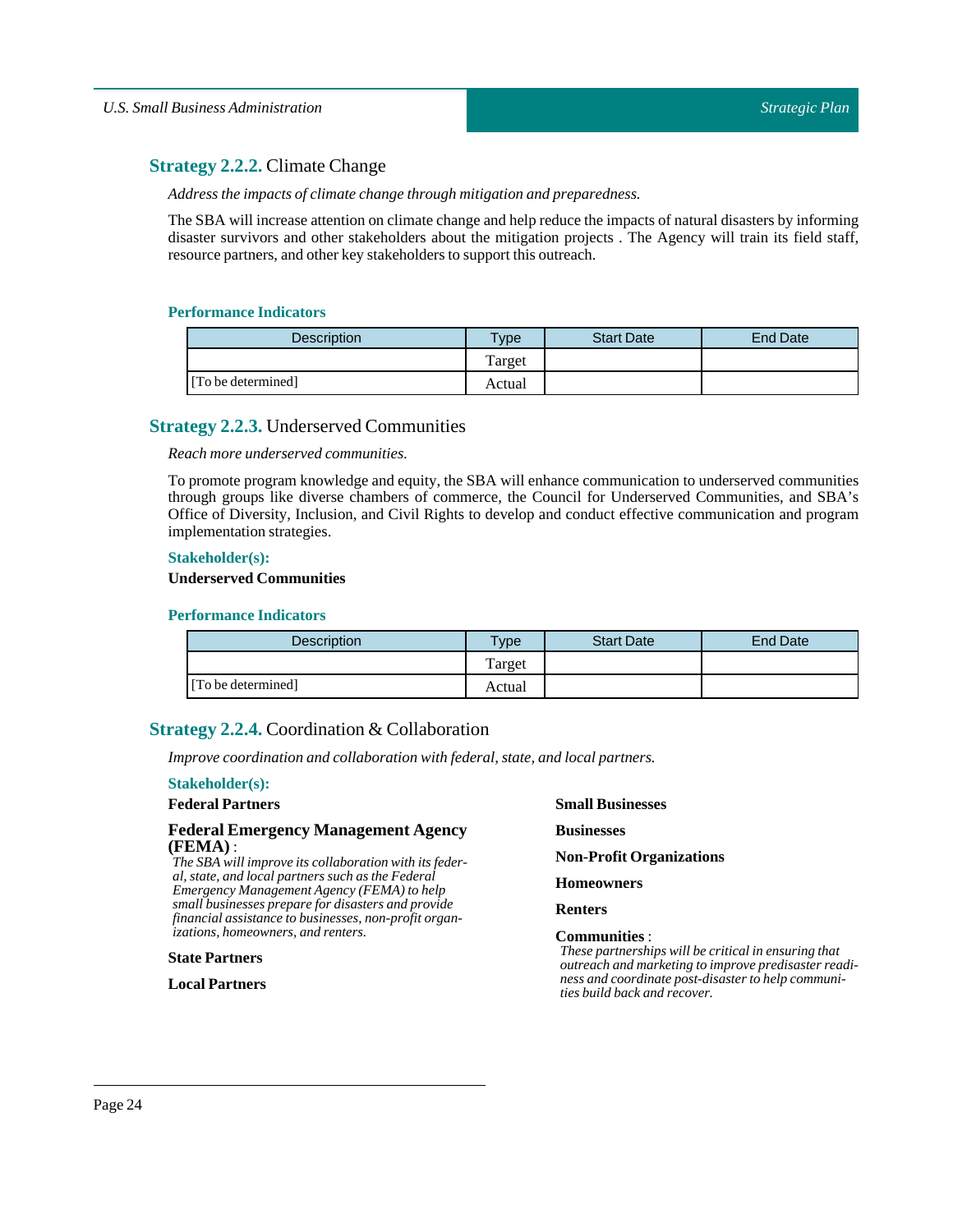## <span id="page-23-0"></span>**Strategy 2.2.2.** Climate Change

*Address the impacts of climate change through mitigation and preparedness.*

The SBA will increase attention on climate change and help reduce the impacts of natural disasters by informing disaster survivors and other stakeholders about the mitigation projects . The Agency will train its field staff, resource partners, and other key stakeholders to support this outreach.

### **Performance Indicators**

| <b>Description</b> | Type   | <b>Start Date</b> | <b>End Date</b> |
|--------------------|--------|-------------------|-----------------|
|                    | Target |                   |                 |
| [To be determined] | Actual |                   |                 |

### <span id="page-23-1"></span>**Strategy 2.2.3.** Underserved Communities

*Reach more underserved communities.*

To promote program knowledge and equity, the SBA will enhance communication to underserved communities through groups like diverse chambers of commerce, the Council for Underserved Communities, and SBA's Office of Diversity, Inclusion, and Civil Rights to develop and conduct effective communication and program implementation strategies.

### **Stakeholder(s):**

### **Underserved Communities**

### **Performance Indicators**

| <b>Description</b> | $T$ vpe | <b>Start Date</b> | <b>End Date</b> |
|--------------------|---------|-------------------|-----------------|
|                    | Target  |                   |                 |
| [To be determined] | Actual  |                   |                 |

## <span id="page-23-2"></span>**Strategy 2.2.4.** Coordination & Collaboration

*Improve coordination and collaboration with federal, state, and local partners.*

#### **Stakeholder(s):**

### **Federal Partners**

### **Federal Emergency Management Agency (FEMA)** :

*The SBA will improve its collaboration with its federal, state, and local partners such as the Federal Emergency Management Agency (FEMA) to help small businesses prepare for disasters and provide financial assistance to businesses, non-profit organizations, homeowners, and renters.*

### **State Partners**

**Local Partners**

### **Small Businesses**

**Businesses**

**Non-Profit Organizations**

**Homeowners**

**Renters**

### **Communities** :

*These partnerships will be critical in ensuring that outreach and marketing to improve predisaster readiness and coordinate post-disaster to help communities build back and recover.*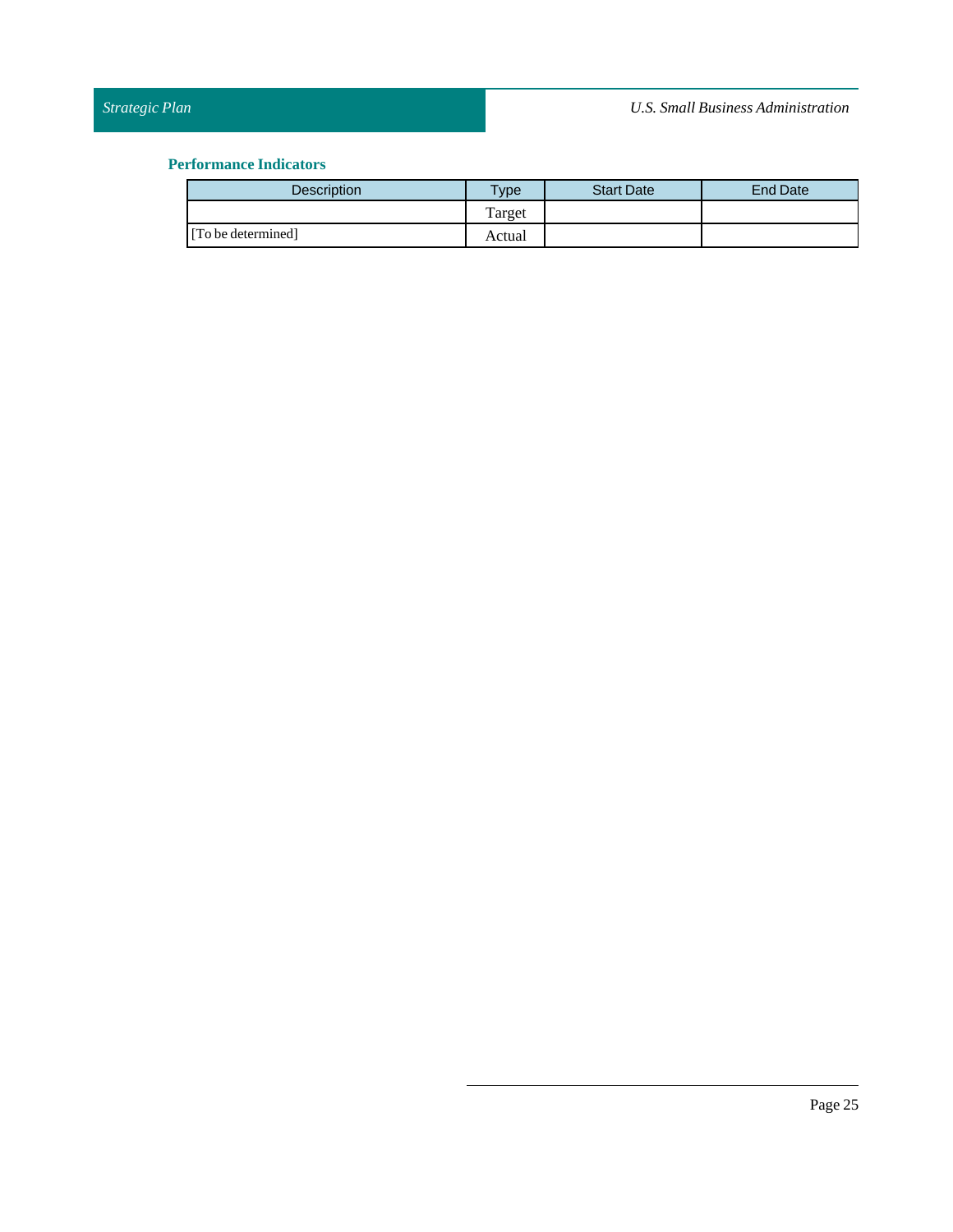| <b>Description</b> | $T$ <sub>VDe</sub> | <b>Start Date</b> | <b>End Date</b> |
|--------------------|--------------------|-------------------|-----------------|
|                    | Target             |                   |                 |
| [To be determined] | Actual             |                   |                 |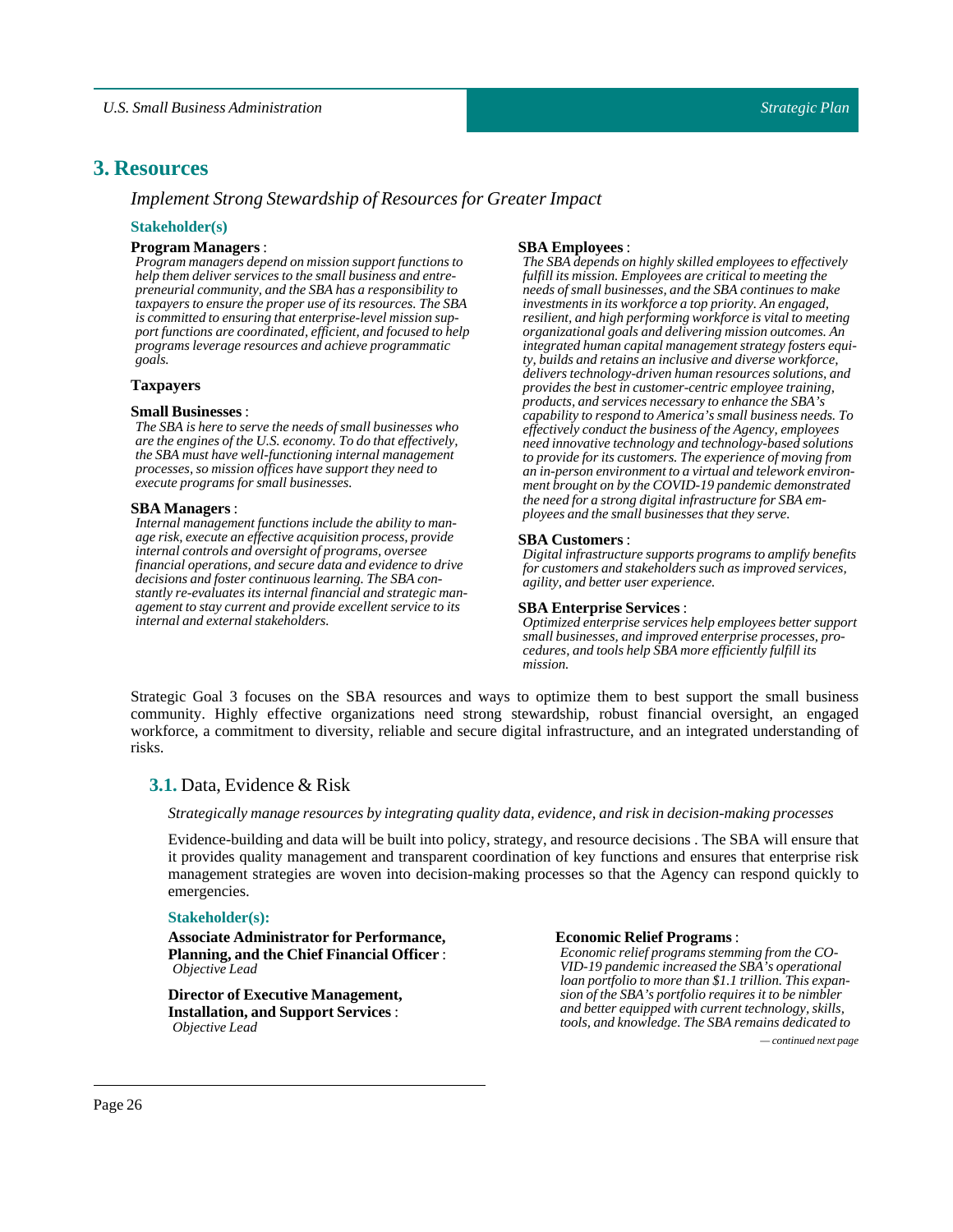## <span id="page-25-0"></span>**3. Resources**

*Implement Strong Stewardship of Resources for Greater Impact*

### **Stakeholder(s)**

### **Program Managers**:

*Program managers depend on mission support functions to help them deliver services to the small business and entrepreneurial community, and the SBA has a responsibility to taxpayers to ensure the proper use of its resources. The SBA is committed to ensuring that enterprise-level mission support functions are coordinated, efficient, and focused to help programs leverage resources and achieve programmatic goals.*

### **Taxpayers**

#### **Small Businesses**:

*The SBA is here to serve the needs of small businesses who are the engines of the U.S. economy. To do that effectively, the SBA must have well-functioning internal management processes, so mission offices have support they need to execute programs for small businesses.*

#### **SBA Managers** :

*Internal management functions include the ability to manage risk, execute an effective acquisition process, provide internal controls and oversight of programs, oversee financial operations, and secure data and evidence to drive decisions and foster continuous learning. The SBA constantly re-evaluates its internal financial and strategic management to stay current and provide excellent service to its internal and external stakeholders.*

### **SBA Employees**:

*The SBA depends on highly skilled employees to effectively fulfill its mission. Employees are critical to meeting the needs of small businesses, and the SBA continues to make investments in its workforce a top priority. An engaged, resilient, and high performing workforce is vital to meeting organizational goals and delivering mission outcomes. An integrated human capital management strategy fosters equity, builds and retains an inclusive and diverse workforce, delivers technology-driven human resources solutions, and provides the best in customer-centric employee training, products, and services necessary to enhance the SBA's capability to respond to America's small business needs. To effectively conduct the business of the Agency, employees need innovative technology and technology-based solutions to provide for its customers. The experience of moving from an in-person environment to a virtual and telework environment brought on by the COVID-19 pandemic demonstrated the need for a strong digital infrastructure for SBA employees and the small businesses that they serve.*

#### **SBA Customers** :

*Digital infrastructure supports programs to amplify benefits for customers and stakeholders such as improved services, agility, and better user experience.*

### **SBA** Enterprise Services :

*Optimized enterprise services help employees better support small businesses, and improved enterprise processes, procedures, and tools help SBA more efficiently fulfill its mission.*

Strategic Goal 3 focuses on the SBA resources and ways to optimize them to best support the small business community. Highly effective organizations need strong stewardship, robust financial oversight, an engaged workforce, a commitment to diversity, reliable and secure digital infrastructure, and an integrated understanding of risks.

## <span id="page-25-1"></span>**3.1.** Data, Evidence & Risk

#### *Strategically manage resources by integrating quality data, evidence, and risk in decision-making processes*

Evidence-building and data will be built into policy, strategy, and resource decisions . The SBA will ensure that it provides quality management and transparent coordination of key functions and ensures that enterprise risk management strategies are woven into decision-making processes so that the Agency can respond quickly to emergencies.

#### **Stakeholder(s):**

**Associate Administrator for Performance, Planning, and the Chief Financial Officer**: *Objective Lead*

**Director of Executive Management, Installation, and Support Services** : *Objective Lead*

#### **Economic Relief Programs** :

*Economic relief programs stemming from the CO-VID-19 pandemic increased the SBA's operational loan portfolio to more than \$1.1 trillion. This expansion of the SBA's portfolio requires it to be nimbler and better equipped with current technology, skills, tools, and knowledge. The SBA remains dedicated to*

*— continued next page*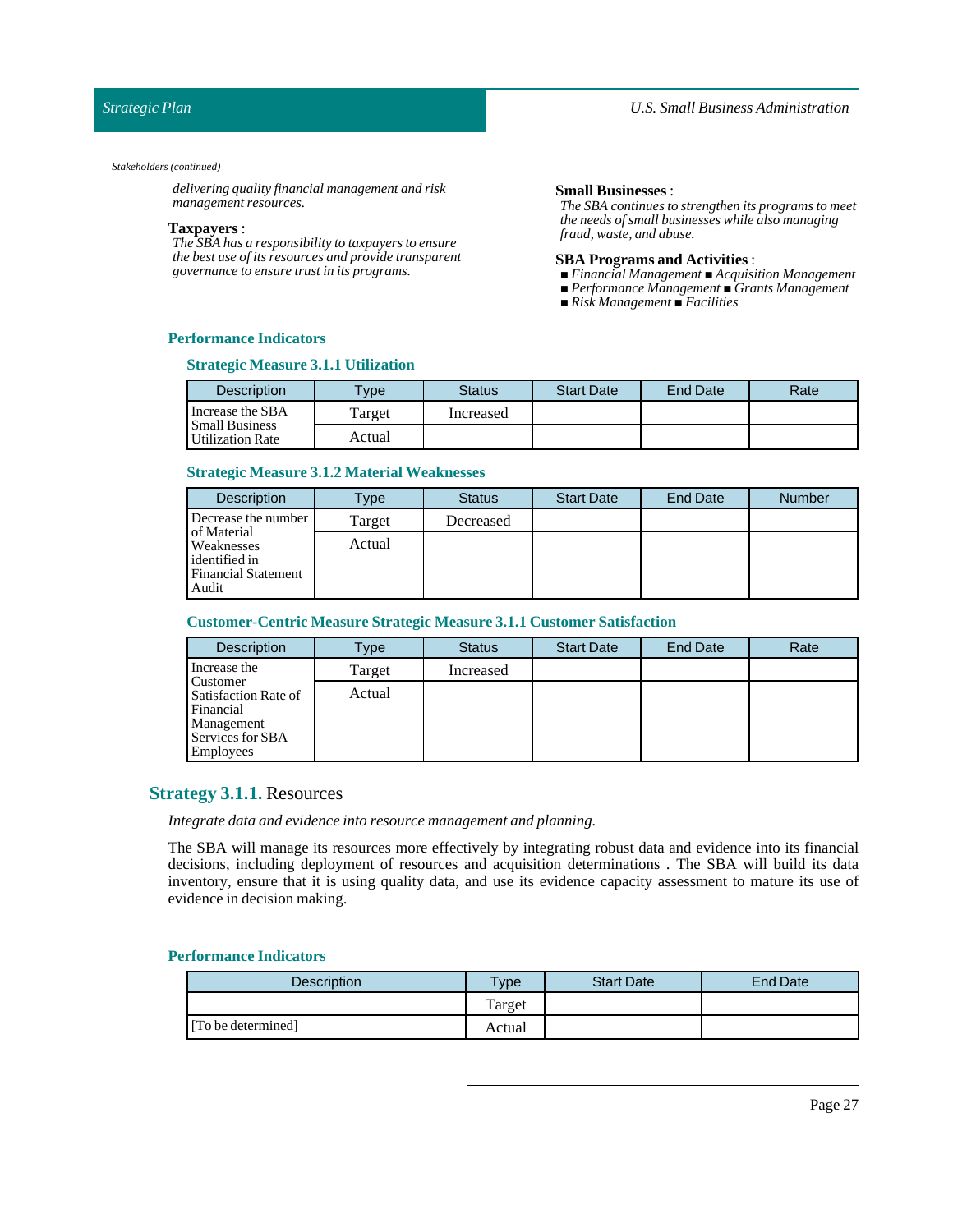### *Strategic Plan*

#### *Stakeholders (continued)*

*delivering quality financial management and risk management resources.*

#### **Taxpayers** :

*The SBA has a responsibility to taxpayers to ensure the best use of its resources and provide transparent governance to ensure trust in its programs.*

#### **Small Businesses**:

*The SBA continues to strengthen its programs to meet the needs of small businesses while also managing fraud, waste, and abuse.*

#### **SBA Programs and Activities**:

- *■ Financial Management ■ Acquisition Management*
- *■ Performance Management ■ Grants Management*
- *■ Risk Management ■ Facilities*

### **Performance Indicators**

### **Strategic Measure 3.1.1 Utilization**

| <b>Description</b>                        | $T$ <sub>V</sub> $pe$ | <b>Status</b> | <b>Start Date</b> | End Date | Rate |
|-------------------------------------------|-----------------------|---------------|-------------------|----------|------|
| Increase the SBA                          | Farget                | Increased     |                   |          |      |
| <b>Small Business</b><br>Utilization Rate | Actual                |               |                   |          |      |

### **Strategic Measure 3.1.2 Material Weaknesses**

| <b>Description</b>                                                                       | <b>Type</b> | <b>Status</b> | <b>Start Date</b> | End Date | <b>Number</b> |
|------------------------------------------------------------------------------------------|-------------|---------------|-------------------|----------|---------------|
| Decrease the number                                                                      | Target      | Decreased     |                   |          |               |
| of Material<br><b>Weaknesses</b><br>identified in<br><b>Financial Statement</b><br>Audit | Actual      |               |                   |          |               |

### **Customer-Centric Measure Strategic Measure 3.1.1 Customer Satisfaction**

| <b>Description</b>                                                                                  | Type   | <b>Status</b> | <b>Start Date</b> | <b>End Date</b> | Rate |
|-----------------------------------------------------------------------------------------------------|--------|---------------|-------------------|-----------------|------|
| Increase the                                                                                        | Target | Increased     |                   |                 |      |
| Customer<br>Satisfaction Rate of<br>Financial<br>Management<br>Services for SBA<br><b>Employees</b> | Actual |               |                   |                 |      |

### <span id="page-26-0"></span>**Strategy 3.1.1.** Resources

*Integrate data and evidence into resource management and planning.*

The SBA will manage its resources more effectively by integrating robust data and evidence into its financial decisions, including deployment of resources and acquisition determinations . The SBA will build its data inventory, ensure that it is using quality data, and use its evidence capacity assessment to mature its use of evidence in decision making.

| <b>Description</b> | $T$ ype | <b>Start Date</b> | <b>End Date</b> |
|--------------------|---------|-------------------|-----------------|
|                    | Target  |                   |                 |
| [To be determined] | Actual  |                   |                 |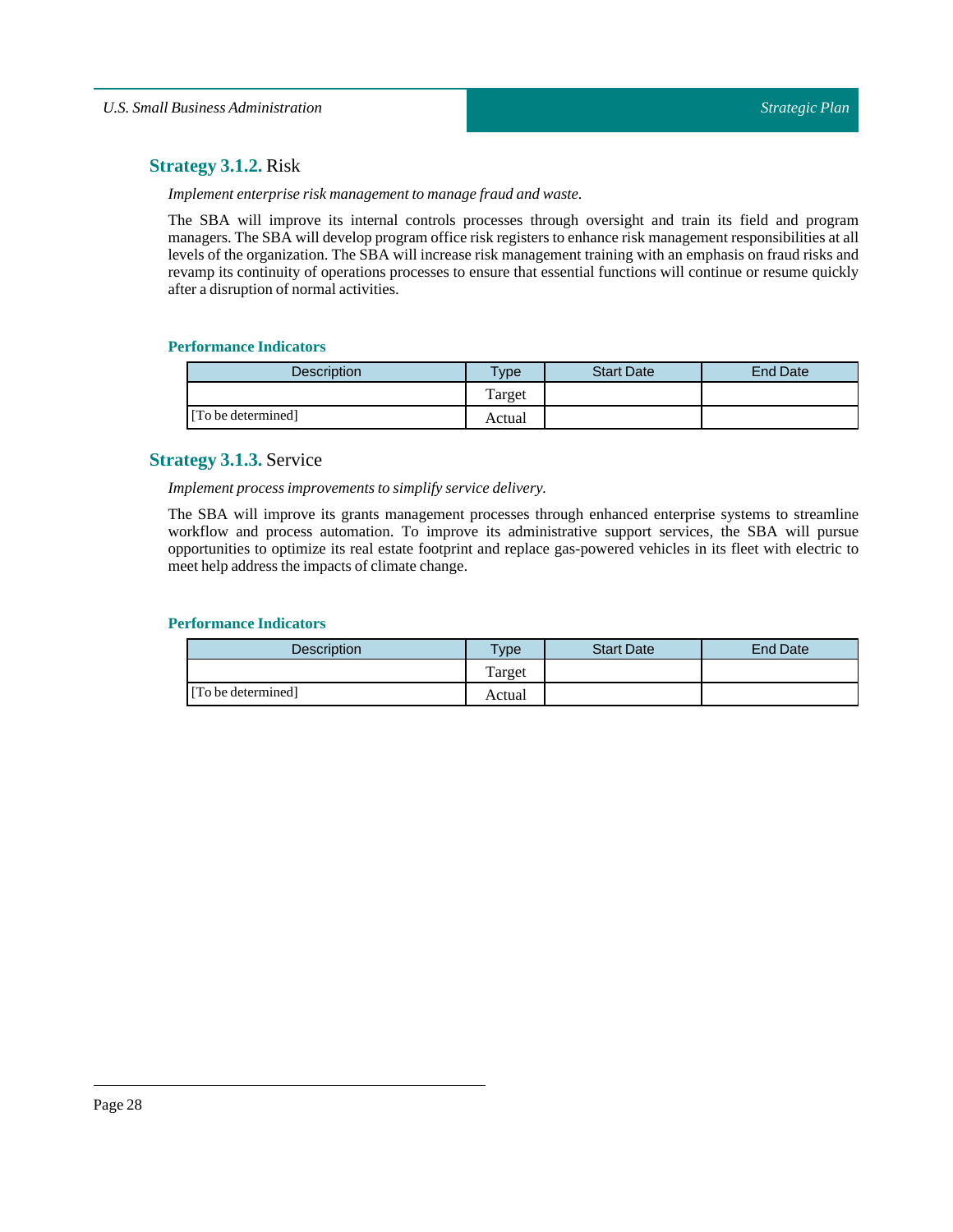## <span id="page-27-0"></span>**Strategy 3.1.2.** Risk

*Implement enterprise risk management to manage fraud and* waste.

The SBA will improve its internal controls processes through oversight and train its field and program managers. The SBA will develop program office risk registers to enhance risk management responsibilities at all levels of the organization. The SBA will increase risk management training with an emphasis on fraud risks and revamp its continuity of operations processes to ensure that essential functions will continue or resume quickly after a disruption of normal activities.

## **Performance Indicators**

| <b>Description</b> | $T$ <sub>ype</sub> | <b>Start Date</b> | <b>End Date</b> |
|--------------------|--------------------|-------------------|-----------------|
|                    | Target             |                   |                 |
| [To be determined] | Actual             |                   |                 |

## <span id="page-27-1"></span>**Strategy 3.1.3.** Service

### *Implement process improvements to simplify service delivery.*

The SBA will improve its grants management processes through enhanced enterprise systems to streamline workflow and process automation. To improve its administrative support services, the SBA will pursue opportunities to optimize its real estate footprint and replace gas-powered vehicles in its fleet with electric to meet help address the impacts of climate change.

| <b>Description</b> | $T$ vpe      | <b>Start Date</b> | <b>End Date</b> |
|--------------------|--------------|-------------------|-----------------|
|                    | m<br>l'arget |                   |                 |
| [To be determined] | Actual       |                   |                 |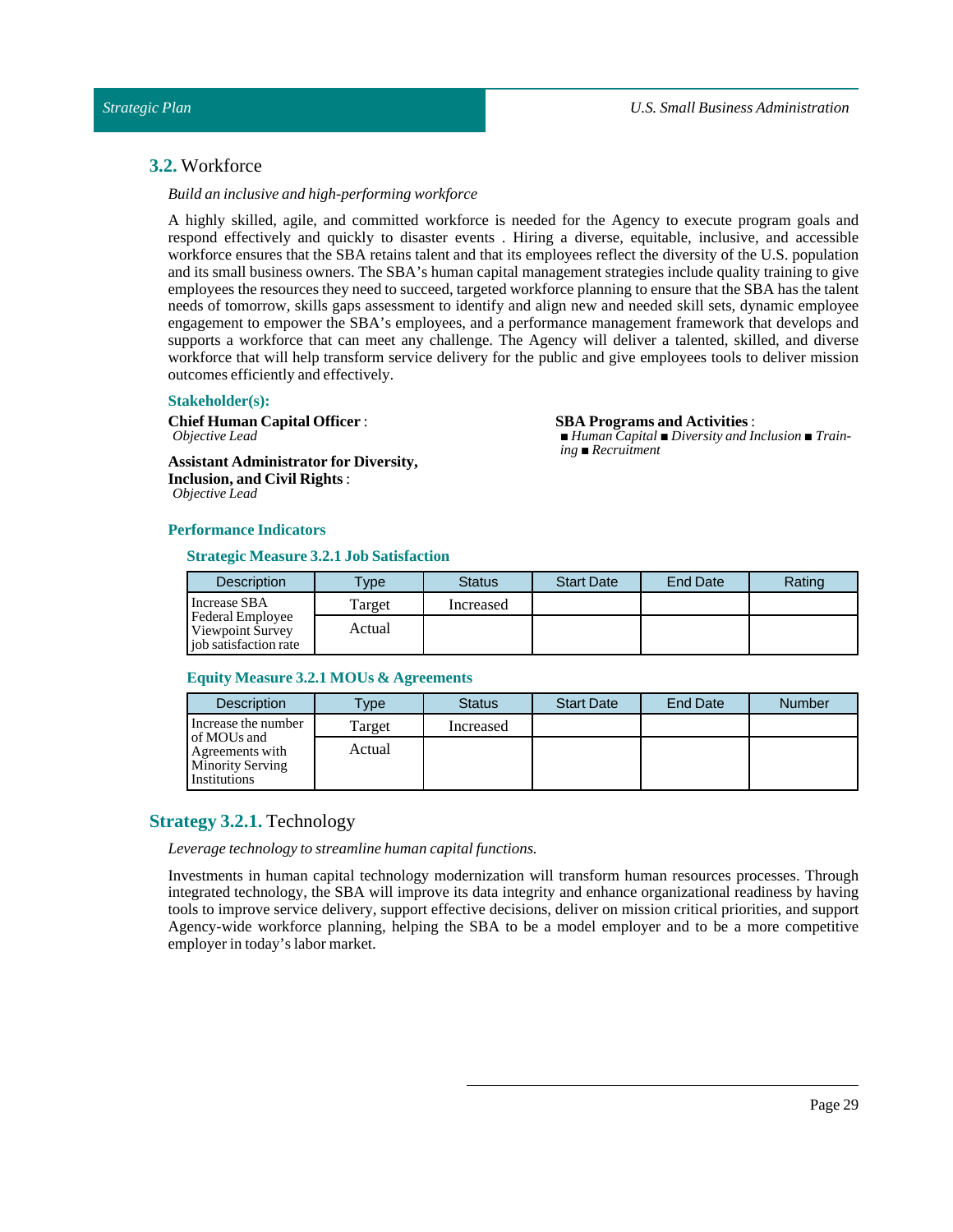**SBA Programs and Activities**:

*ing ■ Recruitment*

*■ Human Capital ■ Diversity and Inclusion ■ Train-*

## <span id="page-28-0"></span>**3.2.** Workforce

### *Build an inclusive and high-performing workforce*

A highly skilled, agile, and committed workforce is needed for the Agency to execute program goals and respond effectively and quickly to disaster events . Hiring a diverse, equitable, inclusive, and accessible workforce ensures that the SBA retains talent and that its employees reflect the diversity of the U.S. population and its small business owners. The SBA's human capital management strategies include quality training to give employees the resources they need to succeed, targeted workforce planning to ensure that the SBA has the talent needs of tomorrow, skills gaps assessment to identify and align new and needed skill sets, dynamic employee engagement to empower the SBA's employees, and a performance management framework that develops and supports a workforce that can meet any challenge. The Agency will deliver a talented, skilled, and diverse workforce that will help transform service delivery for the public and give employees tools to deliver mission outcomes efficiently and effectively.

#### **Stakeholder(s):**

**Chief Human Capital Officer** : *Objective Lead*

**Assistant Administrator for Diversity, Inclusion, and Civil Rights** : *Objective Lead*

### **Performance Indicators**

### **Strategic Measure 3.2.1 Job Satisfaction**

| <b>Description</b>                                            | $T$ <sub>V</sub> $pe$ | <b>Status</b> | <b>Start Date</b> | <b>End Date</b> | Rating |
|---------------------------------------------------------------|-----------------------|---------------|-------------------|-----------------|--------|
| Increase SBA                                                  | Target                | Increased     |                   |                 |        |
| Federal Employee<br>Viewpoint Survey<br>iob satisfaction rate | Actual                |               |                   |                 |        |

#### **Equity Measure 3.2.1 MOUs & Agreements**

| <b>Description</b>                                                        | Type   | <b>Status</b> | <b>Start Date</b> | End Date | <b>Number</b> |
|---------------------------------------------------------------------------|--------|---------------|-------------------|----------|---------------|
| Increase the number                                                       | Target | Increased     |                   |          |               |
| of MOUs and<br>Agreements with<br><b>Minority Serving</b><br>Institutions | Actual |               |                   |          |               |

## <span id="page-28-1"></span>**Strategy 3.2.1.** Technology

*Leverage technology to streamline human capital functions.* 

Investments in human capital technology modernization will transform human resources processes. Through integrated technology, the SBA will improve its data integrity and enhance organizational readiness by having tools to improve service delivery, support effective decisions, deliver on mission critical priorities, and support Agency-wide workforce planning, helping the SBA to be a model employer and to be a more competitive employer in today's labor market.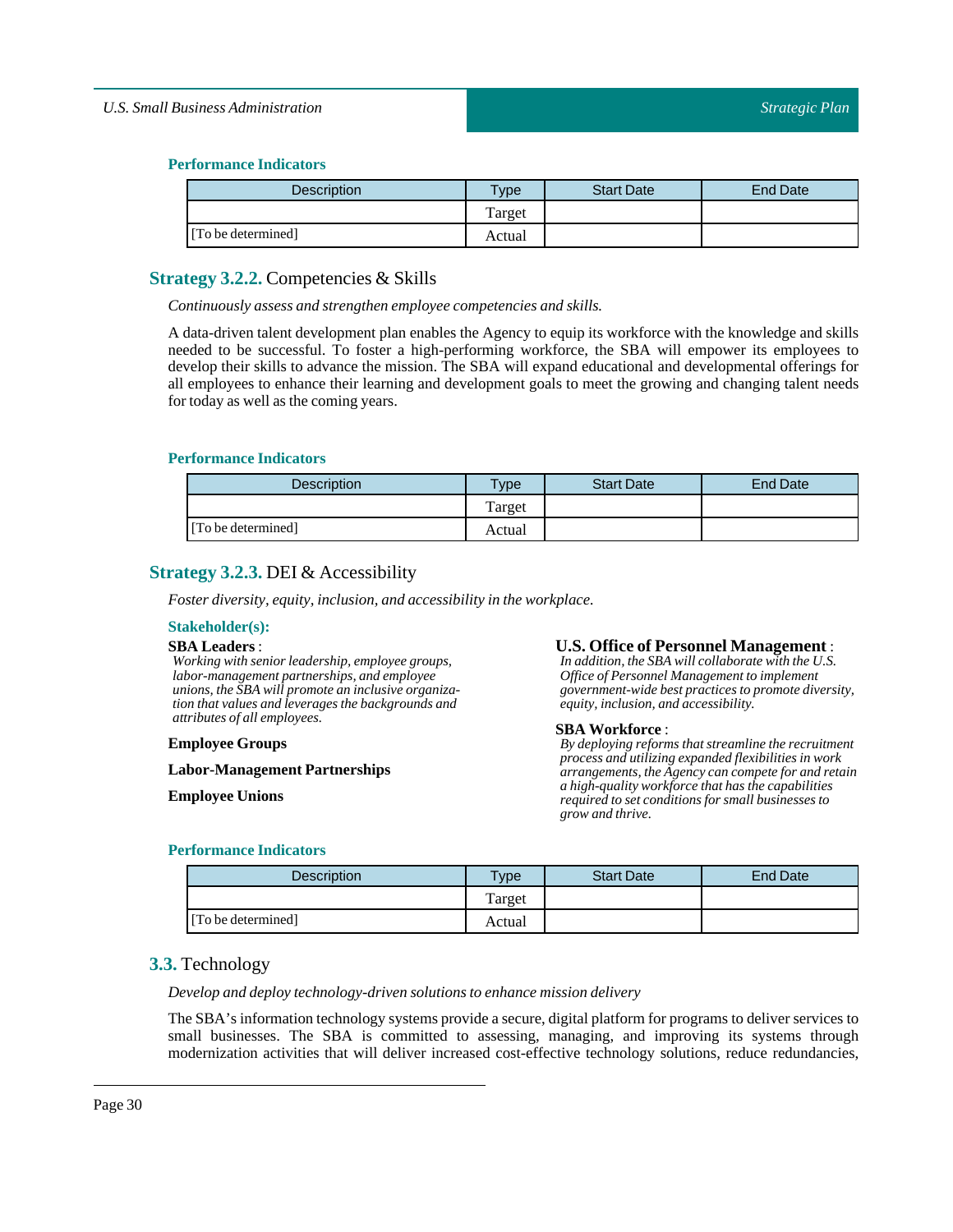### **Performance Indicators**

| Description        | Type   | <b>Start Date</b> | End Date |
|--------------------|--------|-------------------|----------|
|                    | Target |                   |          |
| [To be determined] | Actual |                   |          |

## <span id="page-29-0"></span>**Strategy 3.2.2.** Competencies & Skills

*Continuously assess and strengthen employee competencies and skills.*

A data-driven talent development plan enables the Agency to equip its workforce with the knowledge and skills needed to be successful. To foster a high-performing workforce, the SBA will empower its employees to develop their skills to advance the mission. The SBA will expand educational and developmental offerings for all employees to enhance their learning and development goals to meet the growing and changing talent needs for today as well as the coming years.

### **Performance Indicators**

| <b>Description</b> | $T$ ype | <b>Start Date</b> | <b>End Date</b> |
|--------------------|---------|-------------------|-----------------|
|                    | Target  |                   |                 |
| [To be determined] | Actual  |                   |                 |

## <span id="page-29-1"></span>**Strategy 3.2.3.** DEI & Accessibility

*Foster diversity, equity, inclusion, and accessibility in the workplace.* 

### **Stakeholder(s):**

### **SBA Leaders**:

*Working with senior leadership, employee groups, labor-management partnerships, and employee unions, the SBA will promote an inclusive organization that values and leverages the backgrounds and attributes of all employees.*

#### **Employee Groups**

**Labor-Management Partnerships**

**Employee Unions**

### **U.S. Office of Personnel Management** :

*In addition, the SBA will collaborate with the U.S. Office of Personnel Management to implement government-wide best practices to promote diversity, equity, inclusion, and accessibility.*

#### **SBA Workforce** :

*By deploying reforms that streamline the recruitment process and utilizing expanded flexibilities in work arrangements, the Agency can compete for and retain a high-quality workforce that has the capabilities required to set conditions for small businesses to grow and thrive.*

### **Performance Indicators**

| <b>Description</b> | <b>Type</b> | <b>Start Date</b> | End Date |
|--------------------|-------------|-------------------|----------|
|                    | Target      |                   |          |
| [To be determined] | Actual      |                   |          |

## <span id="page-29-2"></span>**3.3.** Technology

### *Develop and deploy technology-driven solutions to enhance mission delivery*

The SBA's information technology systems provide a secure, digital platform for programs to deliver services to small businesses. The SBA is committed to assessing, managing, and improving its systems through modernization activities that will deliver increased cost-effective technology solutions, reduce redundancies,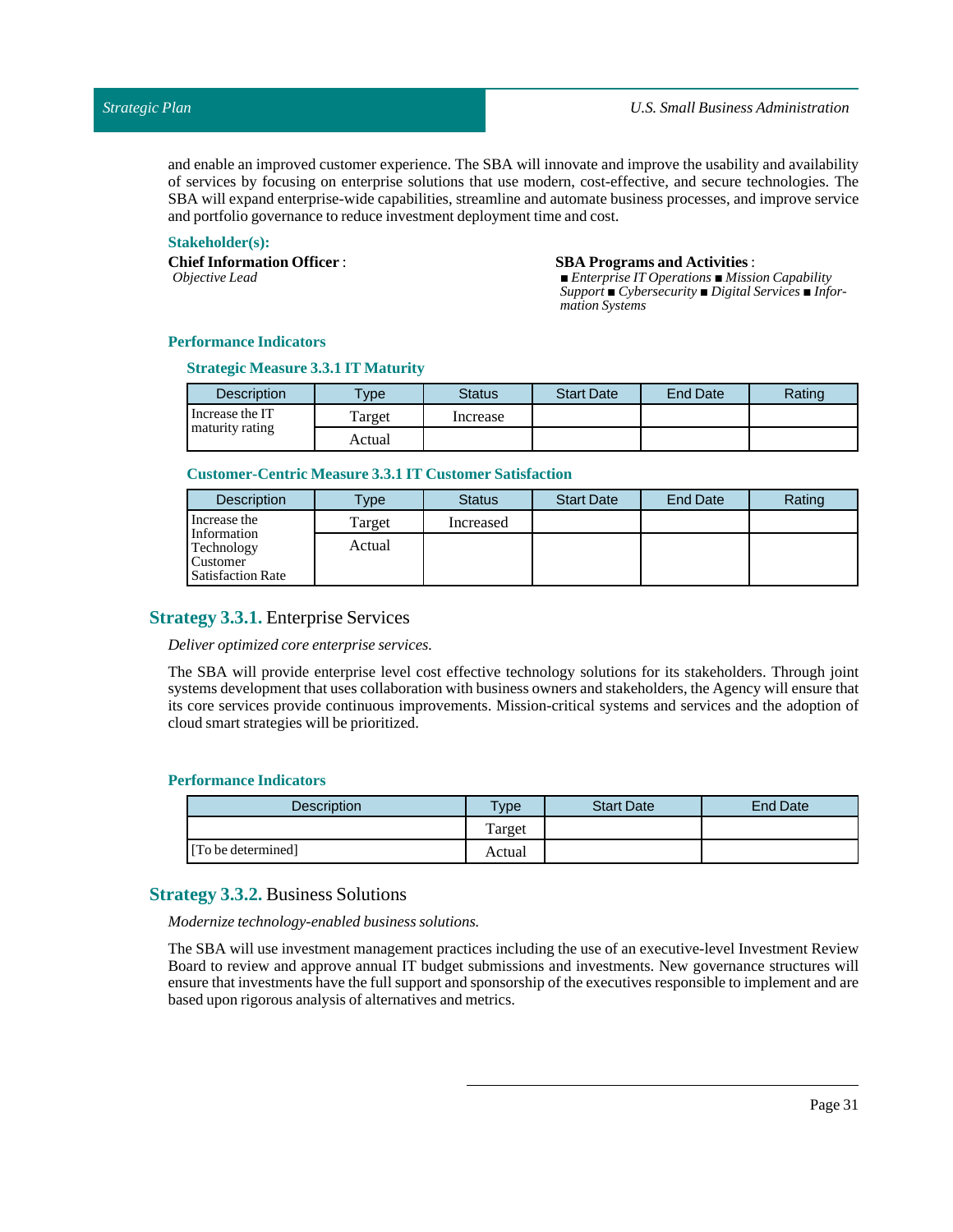and enable an improved customer experience. The SBA will innovate and improve the usability and availability of services by focusing on enterprise solutions that use modern, cost-effective, and secure technologies. The SBA will expand enterprise-wide capabilities, streamline and automate business processes, and improve service and portfolio governance to reduce investment deployment time and cost.

### **Stakeholder(s):**

**Chief Information Officer** :

*Objective Lead*

#### **SBA Programs and Activities**:

*■ Enterprise IT Operations ■ Mission Capability Support ■ Cybersecurity ■ Digital Services ■ Information Systems*

### **Performance Indicators**

### **Strategic Measure 3.3.1 IT Maturity**

| <b>Description</b> | <b>Type</b> | <b>Status</b> | <b>Start Date</b> | <b>End Date</b> | Rating |
|--------------------|-------------|---------------|-------------------|-----------------|--------|
| Increase the IT    | Target      | Increase      |                   |                 |        |
| maturity rating    | Actual      |               |                   |                 |        |

### **Customer-Centric Measure 3.3.1 IT Customer Satisfaction**

| <b>Description</b>                                                | Type <sub>o</sub> | <b>Status</b> | <b>Start Date</b> | <b>End Date</b> | Rating |
|-------------------------------------------------------------------|-------------------|---------------|-------------------|-----------------|--------|
| Increase the                                                      | Target            | Increased     |                   |                 |        |
| Information<br>Technology<br>Customer<br><b>Satisfaction Rate</b> | Actual            |               |                   |                 |        |

## <span id="page-30-0"></span>**Strategy 3.3.1.** Enterprise Services

#### *Deliver optimized core enterprise services.*

The SBA will provide enterprise level cost effective technology solutions for its stakeholders. Through joint systems development that uses collaboration with business owners and stakeholders, the Agency will ensure that its core services provide continuous improvements. Mission-critical systems and services and the adoption of cloud smart strategies will be prioritized.

#### **Performance Indicators**

| Description        | $T$ <sub>V</sub> pe | <b>Start Date</b> | <b>End Date</b> |
|--------------------|---------------------|-------------------|-----------------|
|                    | Target              |                   |                 |
| [To be determined] | Actual              |                   |                 |

## <span id="page-30-1"></span>**Strategy 3.3.2.** Business Solutions

*Modernize technology-enabled business solutions.*

The SBA will use investment management practices including the use of an executive-level Investment Review Board to review and approve annual IT budget submissions and investments. New governance structures will ensure that investments have the full support and sponsorship of the executives responsible to implement and are based upon rigorous analysis of alternatives and metrics.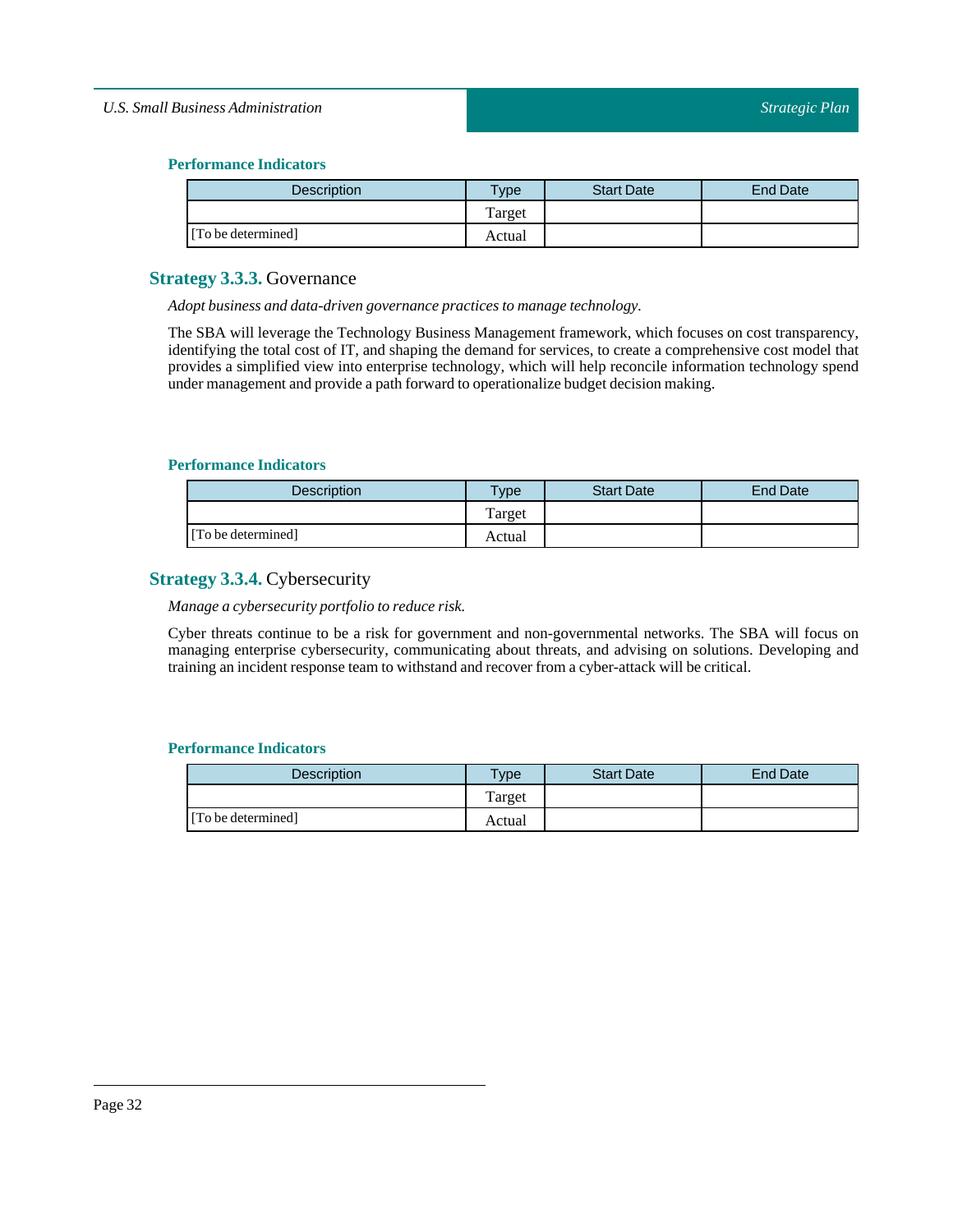## **Performance Indicators**

| Description        | Type   | <b>Start Date</b> | <b>End Date</b> |
|--------------------|--------|-------------------|-----------------|
|                    | Target |                   |                 |
| [To be determined] | Actual |                   |                 |

## <span id="page-31-0"></span>**Strategy 3.3.3.** Governance

*Adopt business and data-driven governance practices to manage technology.*

The SBA will leverage the Technology Business Management framework, which focuses on cost transparency, identifying the total cost of IT, and shaping the demand for services, to create a comprehensive cost model that provides a simplified view into enterprise technology, which will help reconcile information technology spend under management and provide a path forward to operationalize budget decision making.

### **Performance Indicators**

| <b>Description</b> | $T$ ype | <b>Start Date</b> | End Date |
|--------------------|---------|-------------------|----------|
|                    | Target  |                   |          |
| [To be determined] | Actual  |                   |          |

## <span id="page-31-1"></span>**Strategy 3.3.4.** Cybersecurity

*Manage a cybersecurity portfolio to reduce risk.*

Cyber threats continue to be a risk for government and non-governmental networks. The SBA will focus on managing enterprise cybersecurity, communicating about threats, and advising on solutions. Developing and training an incident response team to withstand and recover from a cyber-attack will be critical.

| <b>Description</b> | $v$ pe | <b>Start Date</b> | End Date |
|--------------------|--------|-------------------|----------|
|                    | Target |                   |          |
| [To be determined] | Actual |                   |          |